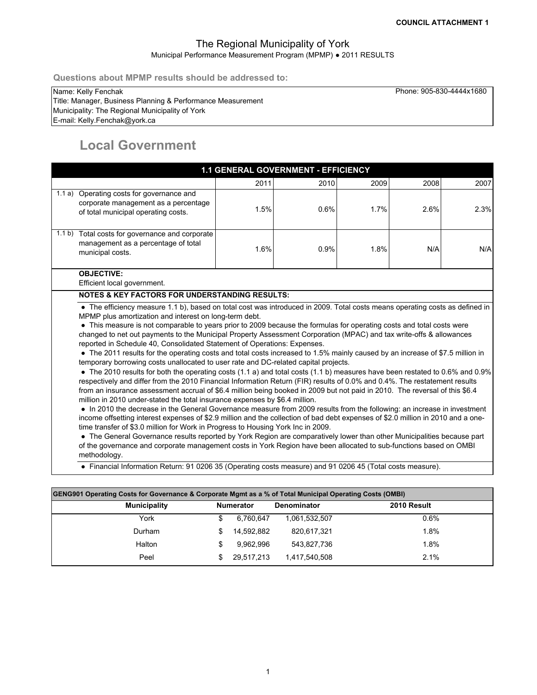Phone: 905-830-4444x1680

### The Regional Municipality of York Municipal Performance Measurement Program (MPMP) ● 2011 RESULTS

**Questions about MPMP results should be addressed to:**

#### Name: Kelly Fenchak

E-mail: Kelly.Fenchak@york.ca Title: Manager, Business Planning & Performance Measurement Municipality: The Regional Municipality of York

# **Local Government**

|                                                                                                                                                                                                                                                                                                                                                                                                                                                                                                                                                                                                                                                                                                                                                                                                                                                                                                                                                                                                                                                                                                                                                                                                                                                                                                                                                                                                                                                                                                                                                                                                                                                                                                                                                                                                                                             | 1.1 GENERAL GOVERNMENT - EFFICIENCY |      |      |      |      |
|---------------------------------------------------------------------------------------------------------------------------------------------------------------------------------------------------------------------------------------------------------------------------------------------------------------------------------------------------------------------------------------------------------------------------------------------------------------------------------------------------------------------------------------------------------------------------------------------------------------------------------------------------------------------------------------------------------------------------------------------------------------------------------------------------------------------------------------------------------------------------------------------------------------------------------------------------------------------------------------------------------------------------------------------------------------------------------------------------------------------------------------------------------------------------------------------------------------------------------------------------------------------------------------------------------------------------------------------------------------------------------------------------------------------------------------------------------------------------------------------------------------------------------------------------------------------------------------------------------------------------------------------------------------------------------------------------------------------------------------------------------------------------------------------------------------------------------------------|-------------------------------------|------|------|------|------|
|                                                                                                                                                                                                                                                                                                                                                                                                                                                                                                                                                                                                                                                                                                                                                                                                                                                                                                                                                                                                                                                                                                                                                                                                                                                                                                                                                                                                                                                                                                                                                                                                                                                                                                                                                                                                                                             | 2011                                | 2010 | 2009 | 2008 | 2007 |
| 1.1 a) Operating costs for governance and<br>corporate management as a percentage<br>of total municipal operating costs.                                                                                                                                                                                                                                                                                                                                                                                                                                                                                                                                                                                                                                                                                                                                                                                                                                                                                                                                                                                                                                                                                                                                                                                                                                                                                                                                                                                                                                                                                                                                                                                                                                                                                                                    | 1.5%                                | 0.6% | 1.7% | 2.6% | 2.3% |
| 1.1 b) Total costs for governance and corporate<br>management as a percentage of total<br>municipal costs.                                                                                                                                                                                                                                                                                                                                                                                                                                                                                                                                                                                                                                                                                                                                                                                                                                                                                                                                                                                                                                                                                                                                                                                                                                                                                                                                                                                                                                                                                                                                                                                                                                                                                                                                  | 1.6%                                | 0.9% | 1.8% | N/A  | N/A  |
| <b>OBJECTIVE:</b><br>Efficient local government.                                                                                                                                                                                                                                                                                                                                                                                                                                                                                                                                                                                                                                                                                                                                                                                                                                                                                                                                                                                                                                                                                                                                                                                                                                                                                                                                                                                                                                                                                                                                                                                                                                                                                                                                                                                            |                                     |      |      |      |      |
| <b>NOTES &amp; KEY FACTORS FOR UNDERSTANDING RESULTS:</b>                                                                                                                                                                                                                                                                                                                                                                                                                                                                                                                                                                                                                                                                                                                                                                                                                                                                                                                                                                                                                                                                                                                                                                                                                                                                                                                                                                                                                                                                                                                                                                                                                                                                                                                                                                                   |                                     |      |      |      |      |
| • The efficiency measure 1.1 b), based on total cost was introduced in 2009. Total costs means operating costs as defined in<br>MPMP plus amortization and interest on long-term debt.<br>• This measure is not comparable to years prior to 2009 because the formulas for operating costs and total costs were<br>changed to net out payments to the Municipal Property Assessment Corporation (MPAC) and tax write-offs & allowances<br>reported in Schedule 40, Consolidated Statement of Operations: Expenses.<br>• The 2011 results for the operating costs and total costs increased to 1.5% mainly caused by an increase of \$7.5 million in<br>temporary borrowing costs unallocated to user rate and DC-related capital projects.<br>• The 2010 results for both the operating costs (1.1 a) and total costs (1.1 b) measures have been restated to 0.6% and 0.9%<br>respectively and differ from the 2010 Financial Information Return (FIR) results of 0.0% and 0.4%. The restatement results<br>from an insurance assessment accrual of \$6.4 million being booked in 2009 but not paid in 2010. The reversal of this \$6.4<br>million in 2010 under-stated the total insurance expenses by \$6.4 million.<br>• In 2010 the decrease in the General Governance measure from 2009 results from the following: an increase in investment<br>income offsetting interest expenses of \$2.9 million and the collection of bad debt expenses of \$2.0 million in 2010 and a one-<br>time transfer of \$3.0 million for Work in Progress to Housing York Inc in 2009.<br>• The General Governance results reported by York Region are comparatively lower than other Municipalities because part<br>of the governance and corporate management costs in York Region have been allocated to sub-functions based on OMBI<br>methodology. |                                     |      |      |      |      |

| GENG901 Operating Costs for Governance & Corporate Mgmt as a % of Total Municipal Operating Costs (OMBI) |  |            |               |      |  |  |  |  |  |  |  |  |
|----------------------------------------------------------------------------------------------------------|--|------------|---------------|------|--|--|--|--|--|--|--|--|
| 2010 Result<br><b>Municipality</b><br><b>Numerator</b><br><b>Denominator</b>                             |  |            |               |      |  |  |  |  |  |  |  |  |
| York                                                                                                     |  | 6.760.647  | 1.061.532.507 | 0.6% |  |  |  |  |  |  |  |  |
| Durham                                                                                                   |  | 14,592,882 | 820,617,321   | 1.8% |  |  |  |  |  |  |  |  |
| Halton                                                                                                   |  | 9.962.996  | 543.827.736   | 1.8% |  |  |  |  |  |  |  |  |
| Peel                                                                                                     |  | 29,517,213 | 1,417,540,508 | 2.1% |  |  |  |  |  |  |  |  |

1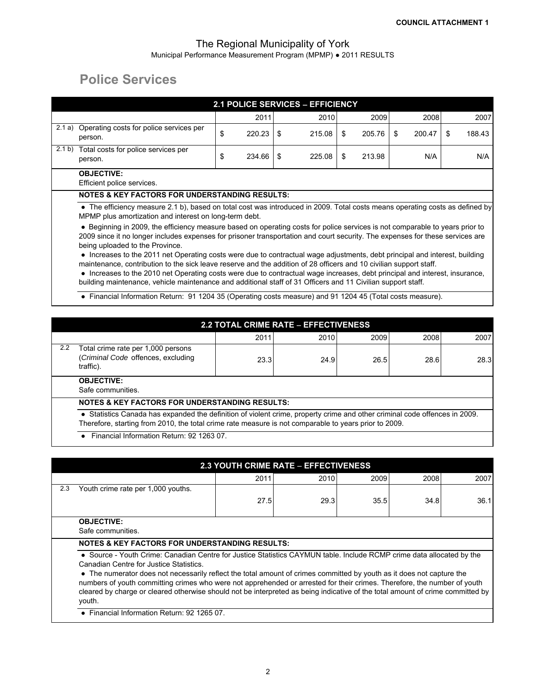# **Police Services**

|        |                                                                                                                                                                                                                                                                                                                                                                                                                                                                                                                                     |    |        |      | <b>2.1 POLICE SERVICES - EFFICIENCY</b> |   |        |      |        |    |        |
|--------|-------------------------------------------------------------------------------------------------------------------------------------------------------------------------------------------------------------------------------------------------------------------------------------------------------------------------------------------------------------------------------------------------------------------------------------------------------------------------------------------------------------------------------------|----|--------|------|-----------------------------------------|---|--------|------|--------|----|--------|
|        |                                                                                                                                                                                                                                                                                                                                                                                                                                                                                                                                     |    | 2011   |      | 2010                                    |   | 2009   |      | 2008   |    | 2007   |
| 2.1 a) | Operating costs for police services per<br>person.                                                                                                                                                                                                                                                                                                                                                                                                                                                                                  | \$ | 220.23 | - \$ | 215.08                                  | S | 205.76 | - \$ | 200.47 | S. | 188.43 |
| 2.1 b) | Total costs for police services per<br>person.                                                                                                                                                                                                                                                                                                                                                                                                                                                                                      | \$ | 234.66 | - \$ | 225.08                                  | S | 213.98 |      | N/A    |    | N/A    |
|        | <b>OBJECTIVE:</b><br>Efficient police services.                                                                                                                                                                                                                                                                                                                                                                                                                                                                                     |    |        |      |                                         |   |        |      |        |    |        |
|        | <b>NOTES &amp; KEY FACTORS FOR UNDERSTANDING RESULTS:</b>                                                                                                                                                                                                                                                                                                                                                                                                                                                                           |    |        |      |                                         |   |        |      |        |    |        |
|        | • The efficiency measure 2.1 b), based on total cost was introduced in 2009. Total costs means operating costs as defined by<br>MPMP plus amortization and interest on long-term debt.<br>• Beginning in 2009, the efficiency measure based on operating costs for police services is not comparable to years prior to<br>2009 since it no longer includes expenses for prisoner transportation and court security. The expenses for these services are                                                                             |    |        |      |                                         |   |        |      |        |    |        |
|        | being uploaded to the Province.<br>• Increases to the 2011 net Operating costs were due to contractual wage adjustments, debt principal and interest, building<br>maintenance, contribution to the sick leave reserve and the addition of 28 officers and 10 civilian support staff.<br>• Increases to the 2010 net Operating costs were due to contractual wage increases, debt principal and interest, insurance,<br>building maintenance, vehicle maintenance and additional staff of 31 Officers and 11 Civilian support staff. |    |        |      |                                         |   |        |      |        |    |        |
|        | • Financial Information Return: 91 1204 35 (Operating costs measure) and 91 1204 45 (Total costs measure).                                                                                                                                                                                                                                                                                                                                                                                                                          |    |        |      |                                         |   |        |      |        |    |        |

|     |                                                                                                                                                                                                                                                                                               | <b>2.2 TOTAL CRIME RATE - EFFECTIVENESS</b> |      |      |      |      |  |  |  |  |
|-----|-----------------------------------------------------------------------------------------------------------------------------------------------------------------------------------------------------------------------------------------------------------------------------------------------|---------------------------------------------|------|------|------|------|--|--|--|--|
|     |                                                                                                                                                                                                                                                                                               | 2011                                        | 2010 | 2009 | 2008 | 2007 |  |  |  |  |
| 2.2 | Total crime rate per 1,000 persons<br>(Criminal Code offences, excluding<br>traffic).                                                                                                                                                                                                         | 23.3                                        | 24.9 | 26.5 | 28.6 | 28.3 |  |  |  |  |
|     | <b>OBJECTIVE:</b><br>Safe communities.                                                                                                                                                                                                                                                        |                                             |      |      |      |      |  |  |  |  |
|     | <b>NOTES &amp; KEY FACTORS FOR UNDERSTANDING RESULTS:</b>                                                                                                                                                                                                                                     |                                             |      |      |      |      |  |  |  |  |
|     | • Statistics Canada has expanded the definition of violent crime, property crime and other criminal code offences in 2009.<br>Therefore, starting from 2010, the total crime rate measure is not comparable to years prior to 2009.<br>Financial Information Return: 92 1263 07.<br>$\bullet$ |                                             |      |      |      |      |  |  |  |  |

|     |                                                                                                                                                                                                                                                                                                                                                                                                                                                                                                                                                                   |      | <b>2.3 YOUTH CRIME RATE - EFFECTIVENESS</b> |      |      |      |  |  |  |  |  |
|-----|-------------------------------------------------------------------------------------------------------------------------------------------------------------------------------------------------------------------------------------------------------------------------------------------------------------------------------------------------------------------------------------------------------------------------------------------------------------------------------------------------------------------------------------------------------------------|------|---------------------------------------------|------|------|------|--|--|--|--|--|
|     |                                                                                                                                                                                                                                                                                                                                                                                                                                                                                                                                                                   | 2011 | 2010                                        | 2009 | 2008 | 2007 |  |  |  |  |  |
| 2.3 | Youth crime rate per 1,000 youths.                                                                                                                                                                                                                                                                                                                                                                                                                                                                                                                                |      |                                             |      |      |      |  |  |  |  |  |
|     |                                                                                                                                                                                                                                                                                                                                                                                                                                                                                                                                                                   | 27.5 | 29.3                                        | 35.5 | 34.8 | 36.1 |  |  |  |  |  |
|     | <b>OBJECTIVE:</b><br>Safe communities.                                                                                                                                                                                                                                                                                                                                                                                                                                                                                                                            |      |                                             |      |      |      |  |  |  |  |  |
|     | <b>NOTES &amp; KEY FACTORS FOR UNDERSTANDING RESULTS:</b>                                                                                                                                                                                                                                                                                                                                                                                                                                                                                                         |      |                                             |      |      |      |  |  |  |  |  |
|     | • Source - Youth Crime: Canadian Centre for Justice Statistics CAYMUN table. Include RCMP crime data allocated by the<br>Canadian Centre for Justice Statistics.<br>• The numerator does not necessarily reflect the total amount of crimes committed by youth as it does not capture the<br>numbers of youth committing crimes who were not apprehended or arrested for their crimes. Therefore, the number of youth<br>cleared by charge or cleared otherwise should not be interpreted as being indicative of the total amount of crime committed by<br>youth. |      |                                             |      |      |      |  |  |  |  |  |

● Financial Information Return: 92 1265 07.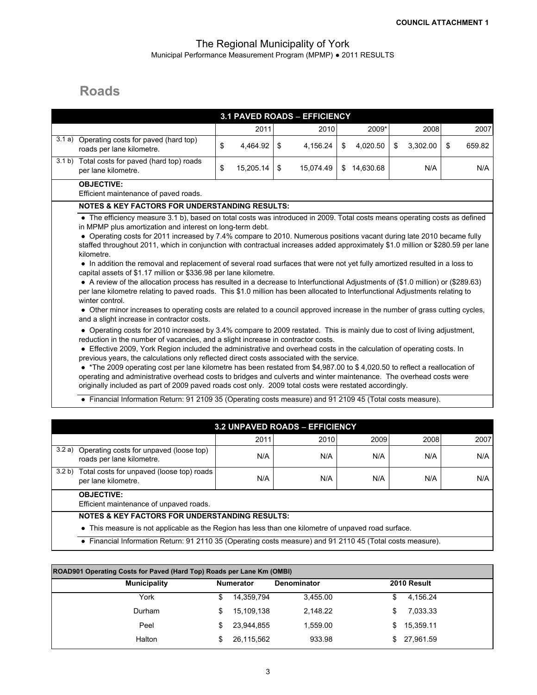## **Roads**

|        |                                                                                                                                                                                                                                                                                                                                                                                                                                                                                                                                                                                                                                                                                                                                                                                                                                                                                                                                                                                                                                                                                                                                                                                                                                                                                                                                                                                    |                 | 3.1 PAVED ROADS - EFFICIENCY          |                 |                |              |
|--------|------------------------------------------------------------------------------------------------------------------------------------------------------------------------------------------------------------------------------------------------------------------------------------------------------------------------------------------------------------------------------------------------------------------------------------------------------------------------------------------------------------------------------------------------------------------------------------------------------------------------------------------------------------------------------------------------------------------------------------------------------------------------------------------------------------------------------------------------------------------------------------------------------------------------------------------------------------------------------------------------------------------------------------------------------------------------------------------------------------------------------------------------------------------------------------------------------------------------------------------------------------------------------------------------------------------------------------------------------------------------------------|-----------------|---------------------------------------|-----------------|----------------|--------------|
|        |                                                                                                                                                                                                                                                                                                                                                                                                                                                                                                                                                                                                                                                                                                                                                                                                                                                                                                                                                                                                                                                                                                                                                                                                                                                                                                                                                                                    | 2011            | 2010                                  | 2009*           | 2008           | 2007         |
| 3.1 a) | Operating costs for paved (hard top)<br>roads per lane kilometre.                                                                                                                                                                                                                                                                                                                                                                                                                                                                                                                                                                                                                                                                                                                                                                                                                                                                                                                                                                                                                                                                                                                                                                                                                                                                                                                  | \$<br>4,464.92  | \$<br>4,156.24                        | \$<br>4,020.50  | \$<br>3,302.00 | \$<br>659.82 |
|        | 3.1 b) Total costs for paved (hard top) roads<br>per lane kilometre.                                                                                                                                                                                                                                                                                                                                                                                                                                                                                                                                                                                                                                                                                                                                                                                                                                                                                                                                                                                                                                                                                                                                                                                                                                                                                                               | \$<br>15,205.14 | \$<br>15,074.49                       | \$<br>14,630.68 | N/A            | N/A          |
|        | <b>OBJECTIVE:</b><br>Efficient maintenance of paved roads.                                                                                                                                                                                                                                                                                                                                                                                                                                                                                                                                                                                                                                                                                                                                                                                                                                                                                                                                                                                                                                                                                                                                                                                                                                                                                                                         |                 |                                       |                 |                |              |
|        | <b>NOTES &amp; KEY FACTORS FOR UNDERSTANDING RESULTS:</b>                                                                                                                                                                                                                                                                                                                                                                                                                                                                                                                                                                                                                                                                                                                                                                                                                                                                                                                                                                                                                                                                                                                                                                                                                                                                                                                          |                 |                                       |                 |                |              |
|        | • Operating costs for 2011 increased by 7.4% compare to 2010. Numerous positions vacant during late 2010 became fully<br>staffed throughout 2011, which in conjunction with contractual increases added approximately \$1.0 million or \$280.59 per lane<br>kilometre.<br>• In addition the removal and replacement of several road surfaces that were not yet fully amortized resulted in a loss to<br>capital assets of \$1.17 million or \$336.98 per lane kilometre.<br>• A review of the allocation process has resulted in a decrease to Interfunctional Adjustments of (\$1.0 million) or (\$289.63)<br>per lane kilometre relating to paved roads. This \$1.0 million has been allocated to Interfunctional Adjustments relating to<br>winter control.<br>• Other minor increases to operating costs are related to a council approved increase in the number of grass cutting cycles,<br>and a slight increase in contractor costs.<br>• Operating costs for 2010 increased by 3.4% compare to 2009 restated. This is mainly due to cost of living adjustment,<br>reduction in the number of vacancies, and a slight increase in contractor costs.<br>• Effective 2009, York Region included the administrative and overhead costs in the calculation of operating costs. In<br>previous years, the calculations only reflected direct costs associated with the service. |                 |                                       |                 |                |              |
|        | • *The 2009 operating cost per lane kilometre has been restated from \$4,987.00 to \$4,020.50 to reflect a reallocation of<br>operating and administrative overhead costs to bridges and culverts and winter maintenance. The overhead costs were<br>originally included as part of 2009 paved roads cost only. 2009 total costs were restated accordingly.                                                                                                                                                                                                                                                                                                                                                                                                                                                                                                                                                                                                                                                                                                                                                                                                                                                                                                                                                                                                                        |                 |                                       |                 |                |              |
|        | • Financial Information Return: 91 2109 35 (Operating costs measure) and 91 2109 45 (Total costs measure).                                                                                                                                                                                                                                                                                                                                                                                                                                                                                                                                                                                                                                                                                                                                                                                                                                                                                                                                                                                                                                                                                                                                                                                                                                                                         |                 |                                       |                 |                |              |
|        |                                                                                                                                                                                                                                                                                                                                                                                                                                                                                                                                                                                                                                                                                                                                                                                                                                                                                                                                                                                                                                                                                                                                                                                                                                                                                                                                                                                    |                 | <b>3.2 UNPAVED ROADS - EFFICIENCY</b> |                 |                |              |
|        |                                                                                                                                                                                                                                                                                                                                                                                                                                                                                                                                                                                                                                                                                                                                                                                                                                                                                                                                                                                                                                                                                                                                                                                                                                                                                                                                                                                    | 2011            | 2010                                  | 2009            | 2008           | 2007         |
|        | 3.2 a) Operating costs for unpaved (loose top)<br>roads per lane kilometre.                                                                                                                                                                                                                                                                                                                                                                                                                                                                                                                                                                                                                                                                                                                                                                                                                                                                                                                                                                                                                                                                                                                                                                                                                                                                                                        | N/A             | N/A                                   | N/A             | N/A            | N/A          |
|        | 3.2 b) Total costs for unpaved (loose top) roads<br>per lane kilometre.                                                                                                                                                                                                                                                                                                                                                                                                                                                                                                                                                                                                                                                                                                                                                                                                                                                                                                                                                                                                                                                                                                                                                                                                                                                                                                            | N/A             | N/A                                   | N/A             | N/A            | N/A          |
|        | <b>OBJECTIVE:</b><br>Efficient maintenance of unpaved roads.                                                                                                                                                                                                                                                                                                                                                                                                                                                                                                                                                                                                                                                                                                                                                                                                                                                                                                                                                                                                                                                                                                                                                                                                                                                                                                                       |                 |                                       |                 |                |              |
|        | <b>NOTES &amp; KEY FACTORS FOR UNDERSTANDING RESULTS:</b><br>• This measure is not applicable as the Region has less than one kilometre of unpaved road surface.                                                                                                                                                                                                                                                                                                                                                                                                                                                                                                                                                                                                                                                                                                                                                                                                                                                                                                                                                                                                                                                                                                                                                                                                                   |                 |                                       |                 |                |              |

**●** Financial Information Return: 91 2110 35 (Operating costs measure) and 91 2110 45 (Total costs measure).

| ROAD901 Operating Costs for Paved (Hard Top) Roads per Lane Km (OMBI)        |   |            |          |     |           |  |  |  |  |  |  |  |
|------------------------------------------------------------------------------|---|------------|----------|-----|-----------|--|--|--|--|--|--|--|
| <b>Municipality</b><br>2010 Result<br><b>Numerator</b><br><b>Denominator</b> |   |            |          |     |           |  |  |  |  |  |  |  |
| York                                                                         | S | 14,359,794 | 3,455.00 | \$  | 4,156.24  |  |  |  |  |  |  |  |
| Durham                                                                       | S | 15,109,138 | 2.148.22 | \$. | 7,033.33  |  |  |  |  |  |  |  |
| Peel                                                                         | S | 23.944.855 | 1.559.00 | \$. | 15,359.11 |  |  |  |  |  |  |  |
| Halton                                                                       |   | 26,115,562 | 933.98   |     | 27,961.59 |  |  |  |  |  |  |  |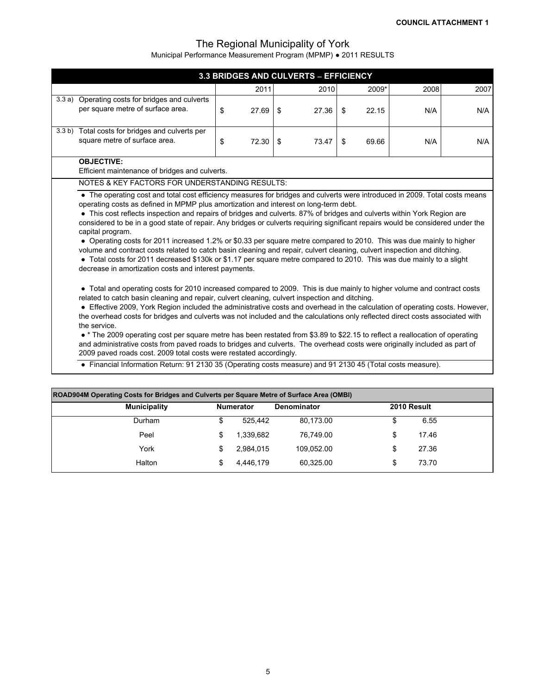|       |                                                                                                                                                                                                                                                                                                                                                                                                                                                                                                                                                                                                                                                                                                                                                                                                                                               |    |       |    | 3.3 BRIDGES AND CULVERTS - EFFICIENCY |    |       |      |      |  |  |  |
|-------|-----------------------------------------------------------------------------------------------------------------------------------------------------------------------------------------------------------------------------------------------------------------------------------------------------------------------------------------------------------------------------------------------------------------------------------------------------------------------------------------------------------------------------------------------------------------------------------------------------------------------------------------------------------------------------------------------------------------------------------------------------------------------------------------------------------------------------------------------|----|-------|----|---------------------------------------|----|-------|------|------|--|--|--|
|       |                                                                                                                                                                                                                                                                                                                                                                                                                                                                                                                                                                                                                                                                                                                                                                                                                                               |    | 2011  |    | 2010                                  |    | 2009* | 2008 | 2007 |  |  |  |
| 3.3a) | Operating costs for bridges and culverts<br>per square metre of surface area.                                                                                                                                                                                                                                                                                                                                                                                                                                                                                                                                                                                                                                                                                                                                                                 | \$ | 27.69 | \$ | 27.36                                 | \$ | 22.15 | N/A  | N/A  |  |  |  |
|       | 3.3 b) Total costs for bridges and culverts per<br>square metre of surface area.                                                                                                                                                                                                                                                                                                                                                                                                                                                                                                                                                                                                                                                                                                                                                              | \$ | 72.30 | \$ | 73.47                                 | \$ | 69.66 | N/A  | N/A  |  |  |  |
|       | <b>OBJECTIVE:</b><br>Efficient maintenance of bridges and culverts.                                                                                                                                                                                                                                                                                                                                                                                                                                                                                                                                                                                                                                                                                                                                                                           |    |       |    |                                       |    |       |      |      |  |  |  |
|       | NOTES & KEY FACTORS FOR UNDERSTANDING RESULTS:                                                                                                                                                                                                                                                                                                                                                                                                                                                                                                                                                                                                                                                                                                                                                                                                |    |       |    |                                       |    |       |      |      |  |  |  |
|       | operating costs as defined in MPMP plus amortization and interest on long-term debt.<br>• This cost reflects inspection and repairs of bridges and culverts. 87% of bridges and culverts within York Region are<br>considered to be in a good state of repair. Any bridges or culverts requiring significant repairs would be considered under the<br>capital program.<br>• Operating costs for 2011 increased 1.2% or \$0.33 per square metre compared to 2010. This was due mainly to higher<br>volume and contract costs related to catch basin cleaning and repair, culvert cleaning, culvert inspection and ditching.<br>• Total costs for 2011 decreased \$130k or \$1.17 per square metre compared to 2010. This was due mainly to a slight<br>decrease in amortization costs and interest payments.                                   |    |       |    |                                       |    |       |      |      |  |  |  |
|       | • Total and operating costs for 2010 increased compared to 2009. This is due mainly to higher volume and contract costs<br>related to catch basin cleaning and repair, culvert cleaning, culvert inspection and ditching.<br>• Effective 2009, York Region included the administrative costs and overhead in the calculation of operating costs. However,<br>the overhead costs for bridges and culverts was not included and the calculations only reflected direct costs associated with<br>the service.<br>• * The 2009 operating cost per square metre has been restated from \$3.89 to \$22.15 to reflect a reallocation of operating<br>and administrative costs from paved roads to bridges and culverts. The overhead costs were originally included as part of<br>2009 paved roads cost. 2009 total costs were restated accordingly. |    |       |    |                                       |    |       |      |      |  |  |  |
|       | • Financial Information Return: 91 2130 35 (Operating costs measure) and 91 2130 45 (Total costs measure).                                                                                                                                                                                                                                                                                                                                                                                                                                                                                                                                                                                                                                                                                                                                    |    |       |    |                                       |    |       |      |      |  |  |  |

| ROAD904M Operating Costs for Bridges and Culverts per Square Metre of Surface Area (OMBI) |   |           |            |    |       |  |  |  |  |  |  |  |
|-------------------------------------------------------------------------------------------|---|-----------|------------|----|-------|--|--|--|--|--|--|--|
| <b>Municipality</b><br>2010 Result<br><b>Numerator</b><br><b>Denominator</b>              |   |           |            |    |       |  |  |  |  |  |  |  |
| Durham                                                                                    | S | 525.442   | 80.173.00  | \$ | 6.55  |  |  |  |  |  |  |  |
| Peel                                                                                      | S | 1,339,682 | 76.749.00  | \$ | 17.46 |  |  |  |  |  |  |  |
| York                                                                                      |   | 2,984,015 | 109.052.00 | \$ | 27.36 |  |  |  |  |  |  |  |
| Halton                                                                                    |   | 4,446,179 | 60.325.00  | \$ | 73.70 |  |  |  |  |  |  |  |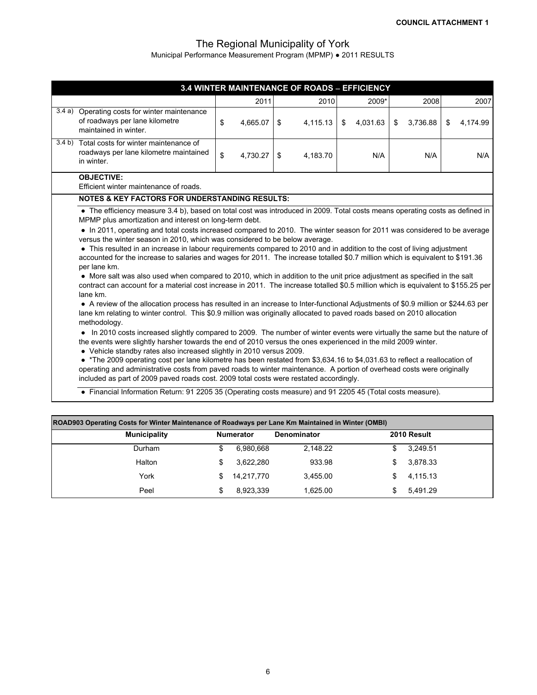|                                                                                                                                                                                                                                                                                                                                                                                                                                                                                                                                                                                                                                                                                                                                                                                                                                                                                                                                                                                                                                                                                                                                                                                                                                                                                                                                                                                                                                                                                                                                                                                                                                                                                                                                                                                                                                                                                                                                                                                                                                     |                |    | 3.4 WINTER MAINTENANCE OF ROADS - EFFICIENCY |                |                |                |
|-------------------------------------------------------------------------------------------------------------------------------------------------------------------------------------------------------------------------------------------------------------------------------------------------------------------------------------------------------------------------------------------------------------------------------------------------------------------------------------------------------------------------------------------------------------------------------------------------------------------------------------------------------------------------------------------------------------------------------------------------------------------------------------------------------------------------------------------------------------------------------------------------------------------------------------------------------------------------------------------------------------------------------------------------------------------------------------------------------------------------------------------------------------------------------------------------------------------------------------------------------------------------------------------------------------------------------------------------------------------------------------------------------------------------------------------------------------------------------------------------------------------------------------------------------------------------------------------------------------------------------------------------------------------------------------------------------------------------------------------------------------------------------------------------------------------------------------------------------------------------------------------------------------------------------------------------------------------------------------------------------------------------------------|----------------|----|----------------------------------------------|----------------|----------------|----------------|
|                                                                                                                                                                                                                                                                                                                                                                                                                                                                                                                                                                                                                                                                                                                                                                                                                                                                                                                                                                                                                                                                                                                                                                                                                                                                                                                                                                                                                                                                                                                                                                                                                                                                                                                                                                                                                                                                                                                                                                                                                                     | 2011           |    | 2010                                         | 2009*          | 2008           | 2007           |
| 3.4 a) Operating costs for winter maintenance<br>of roadways per lane kilometre<br>maintained in winter.                                                                                                                                                                                                                                                                                                                                                                                                                                                                                                                                                                                                                                                                                                                                                                                                                                                                                                                                                                                                                                                                                                                                                                                                                                                                                                                                                                                                                                                                                                                                                                                                                                                                                                                                                                                                                                                                                                                            | \$<br>4,665.07 | S. | 4,115.13                                     | \$<br>4,031.63 | \$<br>3,736.88 | \$<br>4,174.99 |
| 3.4 b) Total costs for winter maintenance of<br>roadways per lane kilometre maintained<br>in winter.                                                                                                                                                                                                                                                                                                                                                                                                                                                                                                                                                                                                                                                                                                                                                                                                                                                                                                                                                                                                                                                                                                                                                                                                                                                                                                                                                                                                                                                                                                                                                                                                                                                                                                                                                                                                                                                                                                                                | \$<br>4,730.27 | \$ | 4,183.70                                     | N/A            | N/A            | N/A            |
| <b>OBJECTIVE:</b><br>Efficient winter maintenance of roads.                                                                                                                                                                                                                                                                                                                                                                                                                                                                                                                                                                                                                                                                                                                                                                                                                                                                                                                                                                                                                                                                                                                                                                                                                                                                                                                                                                                                                                                                                                                                                                                                                                                                                                                                                                                                                                                                                                                                                                         |                |    |                                              |                |                |                |
| <b>NOTES &amp; KEY FACTORS FOR UNDERSTANDING RESULTS:</b>                                                                                                                                                                                                                                                                                                                                                                                                                                                                                                                                                                                                                                                                                                                                                                                                                                                                                                                                                                                                                                                                                                                                                                                                                                                                                                                                                                                                                                                                                                                                                                                                                                                                                                                                                                                                                                                                                                                                                                           |                |    |                                              |                |                |                |
| • The efficiency measure 3.4 b), based on total cost was introduced in 2009. Total costs means operating costs as defined in<br>MPMP plus amortization and interest on long-term debt.<br>• In 2011, operating and total costs increased compared to 2010. The winter season for 2011 was considered to be average<br>versus the winter season in 2010, which was considered to be below average.<br>• This resulted in an increase in labour requirements compared to 2010 and in addition to the cost of living adjustment<br>accounted for the increase to salaries and wages for 2011. The increase totalled \$0.7 million which is equivalent to \$191.36<br>per lane km.<br>• More salt was also used when compared to 2010, which in addition to the unit price adjustment as specified in the salt<br>contract can account for a material cost increase in 2011. The increase totalled \$0.5 million which is equivalent to \$155.25 per<br>lane km.<br>• A review of the allocation process has resulted in an increase to Inter-functional Adjustments of \$0.9 million or \$244.63 per<br>lane km relating to winter control. This \$0.9 million was originally allocated to paved roads based on 2010 allocation<br>methodology.<br>• In 2010 costs increased slightly compared to 2009. The number of winter events were virtually the same but the nature of<br>the events were slightly harsher towards the end of 2010 versus the ones experienced in the mild 2009 winter.<br>• Vehicle standby rates also increased slightly in 2010 versus 2009.<br>• *The 2009 operating cost per lane kilometre has been restated from \$3,634.16 to \$4,031.63 to reflect a reallocation of<br>operating and administrative costs from paved roads to winter maintenance. A portion of overhead costs were originally<br>included as part of 2009 paved roads cost. 2009 total costs were restated accordingly.<br>• Financial Information Return: 91 2205 35 (Operating costs measure) and 91 2205 45 (Total costs measure). |                |    |                                              |                |                |                |

| ROAD903 Operating Costs for Winter Maintenance of Roadways per Lane Km Maintained in Winter (OMBI) |                     |    |                  |                    |  |             |  |  |  |  |  |  |
|----------------------------------------------------------------------------------------------------|---------------------|----|------------------|--------------------|--|-------------|--|--|--|--|--|--|
|                                                                                                    | <b>Municipality</b> |    | <b>Numerator</b> | <b>Denominator</b> |  | 2010 Result |  |  |  |  |  |  |
|                                                                                                    | Durham              |    | 6.980.668        | 2.148.22           |  | 3.249.51    |  |  |  |  |  |  |
|                                                                                                    | Halton              |    | 3.622.280        | 933.98             |  | 3.878.33    |  |  |  |  |  |  |
|                                                                                                    | York                | S. | 14.217.770       | 3.455.00           |  | 4,115.13    |  |  |  |  |  |  |
|                                                                                                    | Peel                |    | 8,923,339        | 1.625.00           |  | 5.491.29    |  |  |  |  |  |  |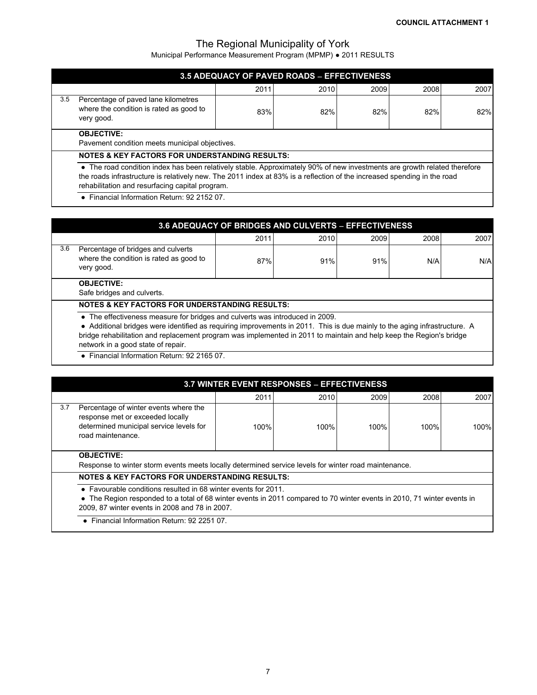Municipal Performance Measurement Program (MPMP) ● 2011 RESULTS

|                                                                     |                                                                                                                                                                                                                                                                                                        |      | <b>3.5 ADEQUACY OF PAVED ROADS - EFFECTIVENESS</b> |      |      |      |  |  |
|---------------------------------------------------------------------|--------------------------------------------------------------------------------------------------------------------------------------------------------------------------------------------------------------------------------------------------------------------------------------------------------|------|----------------------------------------------------|------|------|------|--|--|
|                                                                     |                                                                                                                                                                                                                                                                                                        | 2011 | 2010                                               | 2009 | 2008 | 2007 |  |  |
| 3.5                                                                 | Percentage of paved lane kilometres<br>where the condition is rated as good to<br>very good.                                                                                                                                                                                                           | 83%  | 82%                                                | 82%  | 82%  | 82%  |  |  |
| <b>OBJECTIVE:</b><br>Pavement condition meets municipal objectives. |                                                                                                                                                                                                                                                                                                        |      |                                                    |      |      |      |  |  |
|                                                                     | <b>NOTES &amp; KEY FACTORS FOR UNDERSTANDING RESULTS:</b>                                                                                                                                                                                                                                              |      |                                                    |      |      |      |  |  |
|                                                                     | • The road condition index has been relatively stable. Approximately 90% of new investments are growth related therefore<br>the roads infrastructure is relatively new. The 2011 index at 83% is a reflection of the increased spending in the road<br>rehabilitation and resurfacing capital program. |      |                                                    |      |      |      |  |  |
|                                                                     | • Financial Information Return: 92 2152 07.                                                                                                                                                                                                                                                            |      |                                                    |      |      |      |  |  |

|     | <b>3.6 ADEQUACY OF BRIDGES AND CULVERTS - EFFECTIVENESS</b>                                                                                                                                                                                                                                                                                                            |      |      |      |      |      |  |  |  |  |
|-----|------------------------------------------------------------------------------------------------------------------------------------------------------------------------------------------------------------------------------------------------------------------------------------------------------------------------------------------------------------------------|------|------|------|------|------|--|--|--|--|
|     |                                                                                                                                                                                                                                                                                                                                                                        | 2011 | 2010 | 2009 | 2008 | 2007 |  |  |  |  |
| 3.6 | Percentage of bridges and culverts<br>where the condition is rated as good to<br>very good.                                                                                                                                                                                                                                                                            | 87%  | 91%  | 91%  | N/A  | N/A  |  |  |  |  |
|     | <b>OBJECTIVE:</b><br>Safe bridges and culverts.                                                                                                                                                                                                                                                                                                                        |      |      |      |      |      |  |  |  |  |
|     | <b>NOTES &amp; KEY FACTORS FOR UNDERSTANDING RESULTS:</b>                                                                                                                                                                                                                                                                                                              |      |      |      |      |      |  |  |  |  |
|     | • The effectiveness measure for bridges and culverts was introduced in 2009.<br>• Additional bridges were identified as requiring improvements in 2011. This is due mainly to the aging infrastructure. A<br>bridge rehabilitation and replacement program was implemented in 2011 to maintain and help keep the Region's bridge<br>network in a good state of repair. |      |      |      |      |      |  |  |  |  |

● Financial Information Return: 92 2165 07.

|     |                                                                                                                                                                                                                                             | <b>3.7 WINTER EVENT RESPONSES - EFFECTIVENESS</b> |      |      |      |      |  |  |  |  |
|-----|---------------------------------------------------------------------------------------------------------------------------------------------------------------------------------------------------------------------------------------------|---------------------------------------------------|------|------|------|------|--|--|--|--|
|     |                                                                                                                                                                                                                                             | 2011                                              | 2010 | 2009 | 2008 | 2007 |  |  |  |  |
| 3.7 | Percentage of winter events where the<br>response met or exceeded locally<br>determined municipal service levels for<br>road maintenance.                                                                                                   | 100%                                              | 100% | 100% | 100% | 100% |  |  |  |  |
|     | <b>OBJECTIVE:</b><br>Response to winter storm events meets locally determined service levels for winter road maintenance.                                                                                                                   |                                                   |      |      |      |      |  |  |  |  |
|     | <b>NOTES &amp; KEY FACTORS FOR UNDERSTANDING RESULTS:</b>                                                                                                                                                                                   |                                                   |      |      |      |      |  |  |  |  |
|     | • Favourable conditions resulted in 68 winter events for 2011.<br>• The Region responded to a total of 68 winter events in 2011 compared to 70 winter events in 2010, 71 winter events in<br>2009, 87 winter events in 2008 and 78 in 2007. |                                                   |      |      |      |      |  |  |  |  |
|     | • Financial Information Return: 92 2251 07.                                                                                                                                                                                                 |                                                   |      |      |      |      |  |  |  |  |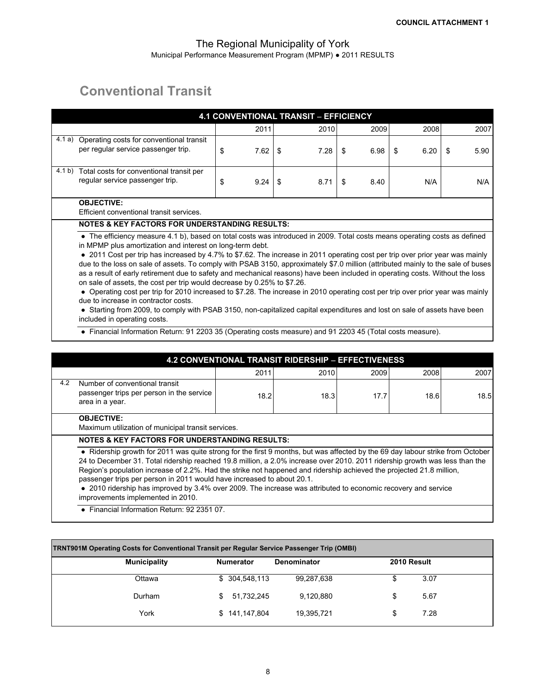## **Conventional Transit**

|        |                                                                                                                                                                                                                                                                                                                                                                                                                                                                                                                                                                                                                                                                                                                                                                                                                                                                                    |            | <b>4.1 CONVENTIONAL TRANSIT - EFFICIENCY</b>              |            |            |            |  |  |  |  |  |
|--------|------------------------------------------------------------------------------------------------------------------------------------------------------------------------------------------------------------------------------------------------------------------------------------------------------------------------------------------------------------------------------------------------------------------------------------------------------------------------------------------------------------------------------------------------------------------------------------------------------------------------------------------------------------------------------------------------------------------------------------------------------------------------------------------------------------------------------------------------------------------------------------|------------|-----------------------------------------------------------|------------|------------|------------|--|--|--|--|--|
|        |                                                                                                                                                                                                                                                                                                                                                                                                                                                                                                                                                                                                                                                                                                                                                                                                                                                                                    | 2011       | 2010                                                      | 2009       | 2008       | 2007       |  |  |  |  |  |
| 4.1 a) | Operating costs for conventional transit<br>per regular service passenger trip.                                                                                                                                                                                                                                                                                                                                                                                                                                                                                                                                                                                                                                                                                                                                                                                                    | \$<br>7.62 | 7.28<br>\$                                                | \$<br>6.98 | 6.20<br>\$ | \$<br>5.90 |  |  |  |  |  |
| 4.1 b) | Total costs for conventional transit per<br>regular service passenger trip.                                                                                                                                                                                                                                                                                                                                                                                                                                                                                                                                                                                                                                                                                                                                                                                                        | \$<br>9.24 | \$<br>8.71                                                | \$<br>8.40 | N/A        | N/A        |  |  |  |  |  |
|        | <b>OBJECTIVE:</b><br>Efficient conventional transit services.                                                                                                                                                                                                                                                                                                                                                                                                                                                                                                                                                                                                                                                                                                                                                                                                                      |            |                                                           |            |            |            |  |  |  |  |  |
|        | <b>NOTES &amp; KEY FACTORS FOR UNDERSTANDING RESULTS:</b>                                                                                                                                                                                                                                                                                                                                                                                                                                                                                                                                                                                                                                                                                                                                                                                                                          |            |                                                           |            |            |            |  |  |  |  |  |
|        | in MPMP plus amortization and interest on long-term debt.<br>• 2011 Cost per trip has increased by 4.7% to \$7.62. The increase in 2011 operating cost per trip over prior year was mainly<br>due to the loss on sale of assets. To comply with PSAB 3150, approximately \$7.0 million (attributed mainly to the sale of buses<br>as a result of early retirement due to safety and mechanical reasons) have been included in operating costs. Without the loss<br>on sale of assets, the cost per trip would decrease by 0.25% to \$7.26.<br>• Operating cost per trip for 2010 increased to \$7.28. The increase in 2010 operating cost per trip over prior year was mainly<br>due to increase in contractor costs.<br>• Starting from 2009, to comply with PSAB 3150, non-capitalized capital expenditures and lost on sale of assets have been<br>included in operating costs. |            |                                                           |            |            |            |  |  |  |  |  |
|        | • Financial Information Return: 91 2203 35 (Operating costs measure) and 91 2203 45 (Total costs measure).                                                                                                                                                                                                                                                                                                                                                                                                                                                                                                                                                                                                                                                                                                                                                                         |            |                                                           |            |            |            |  |  |  |  |  |
|        |                                                                                                                                                                                                                                                                                                                                                                                                                                                                                                                                                                                                                                                                                                                                                                                                                                                                                    |            | <b>4.2 CONVENTIONAL TRANSIT RIDERSHIP - EFFECTIVENESS</b> |            |            |            |  |  |  |  |  |
|        |                                                                                                                                                                                                                                                                                                                                                                                                                                                                                                                                                                                                                                                                                                                                                                                                                                                                                    | 2011       | 2010                                                      | 2009       | 2008       | 2007       |  |  |  |  |  |
| 4.2    | Number of conventional transit<br>passenger trips per person in the service<br>area in a year.                                                                                                                                                                                                                                                                                                                                                                                                                                                                                                                                                                                                                                                                                                                                                                                     | 18.2       | 18.3                                                      | 17.7       | 18.6       | 18.5       |  |  |  |  |  |
|        | <b>OBJECTIVE:</b>                                                                                                                                                                                                                                                                                                                                                                                                                                                                                                                                                                                                                                                                                                                                                                                                                                                                  |            |                                                           |            |            |            |  |  |  |  |  |

Maximum utilization of municipal transit services.

#### **NOTES & KEY FACTORS FOR UNDERSTANDING RESULTS:**

● Ridership growth for 2011 was quite strong for the first 9 months, but was affected by the 69 day labour strike from October 24 to December 31. Total ridership reached 19.8 million, a 2.0% increase over 2010. 2011 ridership growth was less than the Region's population increase of 2.2%. Had the strike not happened and ridership achieved the projected 21.8 million, passenger trips per person in 2011 would have increased to about 20.1.

● 2010 ridership has improved by 3.4% over 2009. The increase was attributed to economic recovery and service improvements implemented in 2010.

**●** Financial Information Return: 92 2351 07.

| TRNT901M Operating Costs for Conventional Transit per Regular Service Passenger Trip (OMBI) |                  |                    |             |  |
|---------------------------------------------------------------------------------------------|------------------|--------------------|-------------|--|
| <b>Municipality</b>                                                                         | <b>Numerator</b> | <b>Denominator</b> | 2010 Result |  |
| Ottawa                                                                                      | \$ 304,548,113   | 99,287,638         | 3.07<br>S   |  |
| Durham                                                                                      | 51.732.245<br>S. | 9.120.880          | 5.67<br>\$  |  |
| York                                                                                        | \$141,147,804    | 19,395,721         | 7.28<br>S   |  |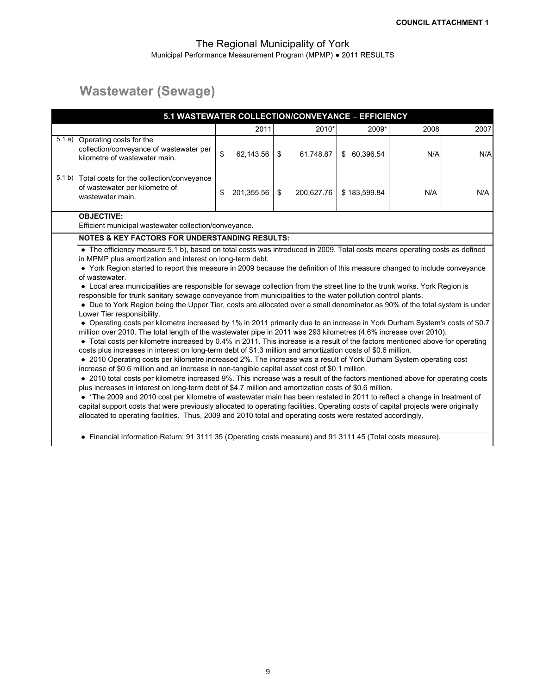# **Wastewater (Sewage)**

| 5.1 WASTEWATER COLLECTION/CONVEYANCE - EFFICIENCY                                                                                                                                                                                                                                                                                                                                                                                                                                                                                                                                                                                                                                                                                                                                                                                                                                                                                                                                                                                                                                                                                                                                                                                                                                                                                                                                                                                                                                                                                                                                                                                                                                                                                                                                                                                                       |                  |                  |              |      |      |
|---------------------------------------------------------------------------------------------------------------------------------------------------------------------------------------------------------------------------------------------------------------------------------------------------------------------------------------------------------------------------------------------------------------------------------------------------------------------------------------------------------------------------------------------------------------------------------------------------------------------------------------------------------------------------------------------------------------------------------------------------------------------------------------------------------------------------------------------------------------------------------------------------------------------------------------------------------------------------------------------------------------------------------------------------------------------------------------------------------------------------------------------------------------------------------------------------------------------------------------------------------------------------------------------------------------------------------------------------------------------------------------------------------------------------------------------------------------------------------------------------------------------------------------------------------------------------------------------------------------------------------------------------------------------------------------------------------------------------------------------------------------------------------------------------------------------------------------------------------|------------------|------------------|--------------|------|------|
|                                                                                                                                                                                                                                                                                                                                                                                                                                                                                                                                                                                                                                                                                                                                                                                                                                                                                                                                                                                                                                                                                                                                                                                                                                                                                                                                                                                                                                                                                                                                                                                                                                                                                                                                                                                                                                                         | 2011             | 2010*            | 2009*        | 2008 | 2007 |
| 5.1 a) Operating costs for the<br>collection/conveyance of wastewater per<br>kilometre of wastewater main.                                                                                                                                                                                                                                                                                                                                                                                                                                                                                                                                                                                                                                                                                                                                                                                                                                                                                                                                                                                                                                                                                                                                                                                                                                                                                                                                                                                                                                                                                                                                                                                                                                                                                                                                              | \$<br>62,143.56  | \$<br>61,748.87  | \$ 60,396.54 | N/A  | N/A  |
| 5.1 b) Total costs for the collection/conveyance<br>of wastewater per kilometre of<br>wastewater main.                                                                                                                                                                                                                                                                                                                                                                                                                                                                                                                                                                                                                                                                                                                                                                                                                                                                                                                                                                                                                                                                                                                                                                                                                                                                                                                                                                                                                                                                                                                                                                                                                                                                                                                                                  | \$<br>201,355.56 | \$<br>200,627.76 | \$183,599.84 | N/A  | N/A  |
| <b>OBJECTIVE:</b><br>Efficient municipal wastewater collection/conveyance.                                                                                                                                                                                                                                                                                                                                                                                                                                                                                                                                                                                                                                                                                                                                                                                                                                                                                                                                                                                                                                                                                                                                                                                                                                                                                                                                                                                                                                                                                                                                                                                                                                                                                                                                                                              |                  |                  |              |      |      |
| <b>NOTES &amp; KEY FACTORS FOR UNDERSTANDING RESULTS:</b>                                                                                                                                                                                                                                                                                                                                                                                                                                                                                                                                                                                                                                                                                                                                                                                                                                                                                                                                                                                                                                                                                                                                                                                                                                                                                                                                                                                                                                                                                                                                                                                                                                                                                                                                                                                               |                  |                  |              |      |      |
| in MPMP plus amortization and interest on long-term debt.<br>• York Region started to report this measure in 2009 because the definition of this measure changed to include conveyance<br>of wastewater.<br>• Local area municipalities are responsible for sewage collection from the street line to the trunk works. York Region is<br>responsible for trunk sanitary sewage conveyance from municipalities to the water pollution control plants.<br>• Due to York Region being the Upper Tier, costs are allocated over a small denominator as 90% of the total system is under<br>Lower Tier responsibility.<br>• Operating costs per kilometre increased by 1% in 2011 primarily due to an increase in York Durham System's costs of \$0.7<br>million over 2010. The total length of the wastewater pipe in 2011 was 293 kilometres (4.6% increase over 2010).<br>• Total costs per kilometre increased by 0.4% in 2011. This increase is a result of the factors mentioned above for operating<br>costs plus increases in interest on long-term debt of \$1.3 million and amortization costs of \$0.6 million.<br>• 2010 Operating costs per kilometre increased 2%. The increase was a result of York Durham System operating cost<br>increase of \$0.6 million and an increase in non-tangible capital asset cost of \$0.1 million.<br>• 2010 total costs per kilometre increased 9%. This increase was a result of the factors mentioned above for operating costs<br>plus increases in interest on long-term debt of \$4.7 million and amortization costs of \$0.6 million.<br>• *The 2009 and 2010 cost per kilometre of wastewater main has been restated in 2011 to reflect a change in treatment of<br>capital support costs that were previously allocated to operating facilities. Operating costs of capital projects were originally |                  |                  |              |      |      |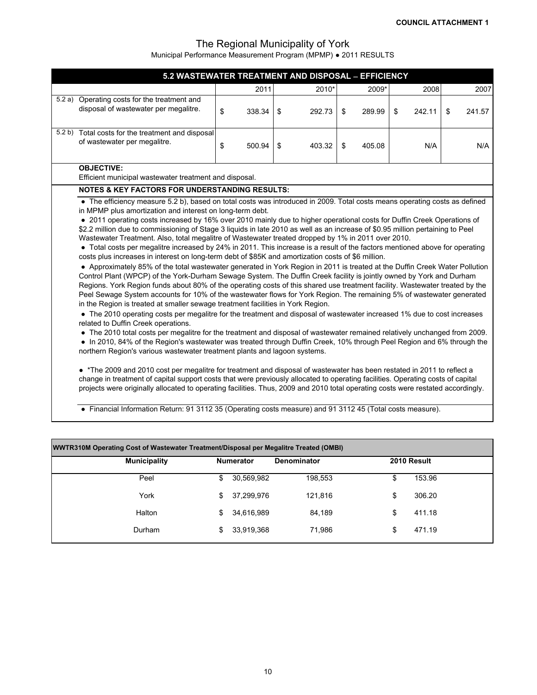| 5.2 WASTEWATER TREATMENT AND DISPOSAL - EFFICIENCY                                                                                                                                                                                                                                                                                                                                                                                                                                                                                                                                                                                                                                                                                                                                                                                                                                                                                                                                                                                                                                                                                                                                                                                                                                                                                                                                                                                                                                                                                                                                                                                                                                                                                                                                                                                                                                                                                                                                                                                                                                                                                                                                                                                                                                                            |    |        |    |        |    |        |    |        |    |        |  |
|---------------------------------------------------------------------------------------------------------------------------------------------------------------------------------------------------------------------------------------------------------------------------------------------------------------------------------------------------------------------------------------------------------------------------------------------------------------------------------------------------------------------------------------------------------------------------------------------------------------------------------------------------------------------------------------------------------------------------------------------------------------------------------------------------------------------------------------------------------------------------------------------------------------------------------------------------------------------------------------------------------------------------------------------------------------------------------------------------------------------------------------------------------------------------------------------------------------------------------------------------------------------------------------------------------------------------------------------------------------------------------------------------------------------------------------------------------------------------------------------------------------------------------------------------------------------------------------------------------------------------------------------------------------------------------------------------------------------------------------------------------------------------------------------------------------------------------------------------------------------------------------------------------------------------------------------------------------------------------------------------------------------------------------------------------------------------------------------------------------------------------------------------------------------------------------------------------------------------------------------------------------------------------------------------------------|----|--------|----|--------|----|--------|----|--------|----|--------|--|
|                                                                                                                                                                                                                                                                                                                                                                                                                                                                                                                                                                                                                                                                                                                                                                                                                                                                                                                                                                                                                                                                                                                                                                                                                                                                                                                                                                                                                                                                                                                                                                                                                                                                                                                                                                                                                                                                                                                                                                                                                                                                                                                                                                                                                                                                                                               |    | 2011   |    | 2010*  |    | 2009*  |    | 2008   |    | 2007   |  |
| 5.2 a) Operating costs for the treatment and<br>disposal of wastewater per megalitre.                                                                                                                                                                                                                                                                                                                                                                                                                                                                                                                                                                                                                                                                                                                                                                                                                                                                                                                                                                                                                                                                                                                                                                                                                                                                                                                                                                                                                                                                                                                                                                                                                                                                                                                                                                                                                                                                                                                                                                                                                                                                                                                                                                                                                         | \$ | 338.34 | \$ | 292.73 | \$ | 289.99 | \$ | 242.11 | \$ | 241.57 |  |
| 5.2 b) Total costs for the treatment and disposal<br>of wastewater per megalitre.                                                                                                                                                                                                                                                                                                                                                                                                                                                                                                                                                                                                                                                                                                                                                                                                                                                                                                                                                                                                                                                                                                                                                                                                                                                                                                                                                                                                                                                                                                                                                                                                                                                                                                                                                                                                                                                                                                                                                                                                                                                                                                                                                                                                                             | \$ | 500.94 | \$ | 403.32 | \$ | 405.08 |    | N/A    |    | N/A    |  |
| <b>OBJECTIVE:</b><br>Efficient municipal wastewater treatment and disposal.                                                                                                                                                                                                                                                                                                                                                                                                                                                                                                                                                                                                                                                                                                                                                                                                                                                                                                                                                                                                                                                                                                                                                                                                                                                                                                                                                                                                                                                                                                                                                                                                                                                                                                                                                                                                                                                                                                                                                                                                                                                                                                                                                                                                                                   |    |        |    |        |    |        |    |        |    |        |  |
| <b>NOTES &amp; KEY FACTORS FOR UNDERSTANDING RESULTS:</b>                                                                                                                                                                                                                                                                                                                                                                                                                                                                                                                                                                                                                                                                                                                                                                                                                                                                                                                                                                                                                                                                                                                                                                                                                                                                                                                                                                                                                                                                                                                                                                                                                                                                                                                                                                                                                                                                                                                                                                                                                                                                                                                                                                                                                                                     |    |        |    |        |    |        |    |        |    |        |  |
| • The efficiency measure 5.2 b), based on total costs was introduced in 2009. Total costs means operating costs as defined<br>in MPMP plus amortization and interest on long-term debt.<br>• 2011 operating costs increased by 16% over 2010 mainly due to higher operational costs for Duffin Creek Operations of<br>\$2.2 million due to commissioning of Stage 3 liquids in late 2010 as well as an increase of \$0.95 million pertaining to Peel<br>Wastewater Treatment. Also, total megalitre of Wastewater treated dropped by 1% in 2011 over 2010.<br>• Total costs per megalitre increased by 24% in 2011. This increase is a result of the factors mentioned above for operating<br>costs plus increases in interest on long-term debt of \$85K and amortization costs of \$6 million.<br>• Approximately 85% of the total wastewater generated in York Region in 2011 is treated at the Duffin Creek Water Pollution<br>Control Plant (WPCP) of the York-Durham Sewage System. The Duffin Creek facility is jointly owned by York and Durham<br>Regions. York Region funds about 80% of the operating costs of this shared use treatment facility. Wastewater treated by the<br>Peel Sewage System accounts for 10% of the wastewater flows for York Region. The remaining 5% of wastewater generated<br>in the Region is treated at smaller sewage treatment facilities in York Region.<br>• The 2010 operating costs per megalitre for the treatment and disposal of wastewater increased 1% due to cost increases<br>related to Duffin Creek operations.<br>• The 2010 total costs per megalitre for the treatment and disposal of wastewater remained relatively unchanged from 2009.<br>• In 2010, 84% of the Region's wastewater was treated through Duffin Creek, 10% through Peel Region and 6% through the<br>northern Region's various wastewater treatment plants and lagoon systems.<br>• *The 2009 and 2010 cost per megalitre for treatment and disposal of wastewater has been restated in 2011 to reflect a<br>change in treatment of capital support costs that were previously allocated to operating facilities. Operating costs of capital<br>projects were originally allocated to operating facilities. Thus, 2009 and 2010 total operating costs were restated accordingly. |    |        |    |        |    |        |    |        |    |        |  |
| • Financial Information Return: 91 3112 35 (Operating costs measure) and 91 3112 45 (Total costs measure).                                                                                                                                                                                                                                                                                                                                                                                                                                                                                                                                                                                                                                                                                                                                                                                                                                                                                                                                                                                                                                                                                                                                                                                                                                                                                                                                                                                                                                                                                                                                                                                                                                                                                                                                                                                                                                                                                                                                                                                                                                                                                                                                                                                                    |    |        |    |        |    |        |    |        |    |        |  |

|                     | WWTR310M Operating Cost of Wastewater Treatment/Disposal per Megalitre Treated (OMBI) |             |    |             |  |  |  |  |  |  |  |  |
|---------------------|---------------------------------------------------------------------------------------|-------------|----|-------------|--|--|--|--|--|--|--|--|
| <b>Municipality</b> | <b>Numerator</b>                                                                      | Denominator |    | 2010 Result |  |  |  |  |  |  |  |  |
| Peel                | 30,569,982<br>S.                                                                      | 198,553     | \$ | 153.96      |  |  |  |  |  |  |  |  |
| York                | 37,299,976<br>\$                                                                      | 121,816     | \$ | 306.20      |  |  |  |  |  |  |  |  |
| Halton              | 34,616,989<br>S.                                                                      | 84,189      | \$ | 411.18      |  |  |  |  |  |  |  |  |
| Durham              | 33,919,368<br>S.                                                                      | 71,986      | \$ | 471.19      |  |  |  |  |  |  |  |  |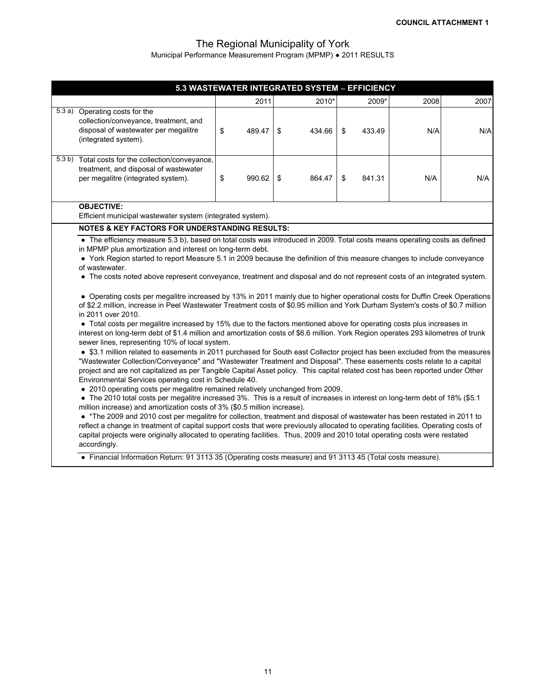|                                                                                                                                                                                                                                                                                                                                                                                                                                                                                                                                                                                                                                                                                                                                                                                                                                                                                                                                                                                                                                                                                                                                                                                                                                                                                                                                                                                                                                                                                                                                                                                                                                                                                                                                                                                                                                                                                                                                                                                                                                                                                                                                                                                                                       | 5.3 WASTEWATER INTEGRATED SYSTEM - EFFICIENCY |    |        |    |        |    |        |      |      |
|-----------------------------------------------------------------------------------------------------------------------------------------------------------------------------------------------------------------------------------------------------------------------------------------------------------------------------------------------------------------------------------------------------------------------------------------------------------------------------------------------------------------------------------------------------------------------------------------------------------------------------------------------------------------------------------------------------------------------------------------------------------------------------------------------------------------------------------------------------------------------------------------------------------------------------------------------------------------------------------------------------------------------------------------------------------------------------------------------------------------------------------------------------------------------------------------------------------------------------------------------------------------------------------------------------------------------------------------------------------------------------------------------------------------------------------------------------------------------------------------------------------------------------------------------------------------------------------------------------------------------------------------------------------------------------------------------------------------------------------------------------------------------------------------------------------------------------------------------------------------------------------------------------------------------------------------------------------------------------------------------------------------------------------------------------------------------------------------------------------------------------------------------------------------------------------------------------------------------|-----------------------------------------------|----|--------|----|--------|----|--------|------|------|
|                                                                                                                                                                                                                                                                                                                                                                                                                                                                                                                                                                                                                                                                                                                                                                                                                                                                                                                                                                                                                                                                                                                                                                                                                                                                                                                                                                                                                                                                                                                                                                                                                                                                                                                                                                                                                                                                                                                                                                                                                                                                                                                                                                                                                       |                                               |    | 2011   |    | 2010*  |    | 2009*  | 2008 | 2007 |
| 5.3 a) Operating costs for the<br>collection/conveyance, treatment, and<br>disposal of wastewater per megalitre<br>(integrated system).                                                                                                                                                                                                                                                                                                                                                                                                                                                                                                                                                                                                                                                                                                                                                                                                                                                                                                                                                                                                                                                                                                                                                                                                                                                                                                                                                                                                                                                                                                                                                                                                                                                                                                                                                                                                                                                                                                                                                                                                                                                                               |                                               | \$ | 489.47 | \$ | 434.66 | \$ | 433.49 | N/A  | N/A  |
| 5.3 b) Total costs for the collection/conveyance,<br>treatment, and disposal of wastewater<br>per megalitre (integrated system).                                                                                                                                                                                                                                                                                                                                                                                                                                                                                                                                                                                                                                                                                                                                                                                                                                                                                                                                                                                                                                                                                                                                                                                                                                                                                                                                                                                                                                                                                                                                                                                                                                                                                                                                                                                                                                                                                                                                                                                                                                                                                      |                                               | \$ | 990.62 | \$ | 864.47 | \$ | 841.31 | N/A  | N/A  |
| <b>OBJECTIVE:</b>                                                                                                                                                                                                                                                                                                                                                                                                                                                                                                                                                                                                                                                                                                                                                                                                                                                                                                                                                                                                                                                                                                                                                                                                                                                                                                                                                                                                                                                                                                                                                                                                                                                                                                                                                                                                                                                                                                                                                                                                                                                                                                                                                                                                     |                                               |    |        |    |        |    |        |      |      |
|                                                                                                                                                                                                                                                                                                                                                                                                                                                                                                                                                                                                                                                                                                                                                                                                                                                                                                                                                                                                                                                                                                                                                                                                                                                                                                                                                                                                                                                                                                                                                                                                                                                                                                                                                                                                                                                                                                                                                                                                                                                                                                                                                                                                                       |                                               |    |        |    |        |    |        |      |      |
|                                                                                                                                                                                                                                                                                                                                                                                                                                                                                                                                                                                                                                                                                                                                                                                                                                                                                                                                                                                                                                                                                                                                                                                                                                                                                                                                                                                                                                                                                                                                                                                                                                                                                                                                                                                                                                                                                                                                                                                                                                                                                                                                                                                                                       |                                               |    |        |    |        |    |        |      |      |
| Efficient municipal wastewater system (integrated system).<br><b>NOTES &amp; KEY FACTORS FOR UNDERSTANDING RESULTS:</b><br>• The efficiency measure 5.3 b), based on total costs was introduced in 2009. Total costs means operating costs as defined<br>in MPMP plus amortization and interest on long-term debt.<br>• York Region started to report Measure 5.1 in 2009 because the definition of this measure changes to include conveyance<br>of wastewater.<br>• The costs noted above represent conveyance, treatment and disposal and do not represent costs of an integrated system.<br>• Operating costs per megalitre increased by 13% in 2011 mainly due to higher operational costs for Duffin Creek Operations<br>of \$2.2 million, increase in Peel Wastewater Treatment costs of \$0.95 million and York Durham System's costs of \$0.7 million<br>in 2011 over 2010.<br>• Total costs per megalitre increased by 15% due to the factors mentioned above for operating costs plus increases in<br>interest on long-term debt of \$1.4 million and amortization costs of \$6.6 million. York Region operates 293 kilometres of trunk<br>sewer lines, representing 10% of local system.<br>• \$3.1 million related to easements in 2011 purchased for South east Collector project has been excluded from the measures<br>"Wastewater Collection/Conveyance" and "Wastewater Treatment and Disposal". These easements costs relate to a capital<br>project and are not capitalized as per Tangible Capital Asset policy. This capital related cost has been reported under Other<br>Environmental Services operating cost in Schedule 40.<br>• 2010 operating costs per megalitre remained relatively unchanged from 2009.<br>• The 2010 total costs per megalitre increased 3%. This is a result of increases in interest on long-term debt of 18% (\$5.1<br>million increase) and amortization costs of 3% (\$0.5 million increase).<br>• *The 2009 and 2010 cost per megalitre for collection, treatment and disposal of wastewater has been restated in 2011 to<br>reflect a change in treatment of capital support costs that were previously allocated to operating facilities. Operating costs of |                                               |    |        |    |        |    |        |      |      |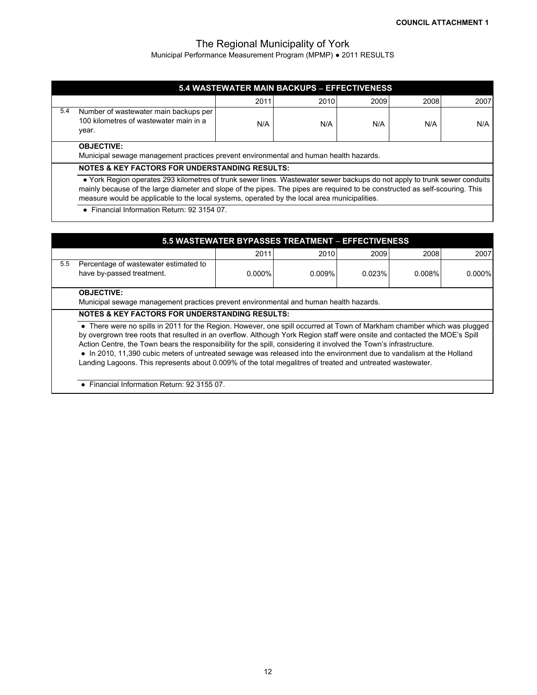Municipal Performance Measurement Program (MPMP) ● 2011 RESULTS

|     | 5.4 WASTEWATER MAIN BACKUPS - EFFECTIVENESS                                                                |      |      |      |      |      |  |  |  |  |
|-----|------------------------------------------------------------------------------------------------------------|------|------|------|------|------|--|--|--|--|
|     |                                                                                                            | 2011 | 2010 | 2009 | 2008 | 2007 |  |  |  |  |
| 5.4 | Number of wastewater main backups per<br>100 kilometres of wastewater main in a<br>year.                   | N/A  | N/A  | N/A  | N/A  | N/A  |  |  |  |  |
|     | <b>OBJECTIVE:</b><br>Municipal sewage management practices prevent environmental and human health hazards. |      |      |      |      |      |  |  |  |  |
|     | NATES & IZEV EASTADS FAD UNDERSTANDING BESULTS.                                                            |      |      |      |      |      |  |  |  |  |

#### **NOTES & KEY FACTORS FOR UNDERSTANDING RESULTS:**

 ● York Region operates 293 kilometres of trunk sewer lines. Wastewater sewer backups do not apply to trunk sewer conduits mainly because of the large diameter and slope of the pipes. The pipes are required to be constructed as self-scouring. This measure would be applicable to the local systems, operated by the local area municipalities.

 **●** Financial Information Return: 92 3154 07.

|     |                                                                                                                                                                                                                                                                                                                                                                                                                                                                                                                                                                                                                   |           | <b>5.5 WASTEWATER BYPASSES TREATMENT - EFFECTIVENESS</b> |        |        |           |  |  |  |  |
|-----|-------------------------------------------------------------------------------------------------------------------------------------------------------------------------------------------------------------------------------------------------------------------------------------------------------------------------------------------------------------------------------------------------------------------------------------------------------------------------------------------------------------------------------------------------------------------------------------------------------------------|-----------|----------------------------------------------------------|--------|--------|-----------|--|--|--|--|
|     |                                                                                                                                                                                                                                                                                                                                                                                                                                                                                                                                                                                                                   | 2011      | 2010                                                     | 2009   | 2008   | 2007      |  |  |  |  |
| 5.5 | Percentage of wastewater estimated to<br>have by-passed treatment.                                                                                                                                                                                                                                                                                                                                                                                                                                                                                                                                                | $0.000\%$ | 0.009%                                                   | 0.023% | 0.008% | $0.000\%$ |  |  |  |  |
|     | <b>OBJECTIVE:</b><br>Municipal sewage management practices prevent environmental and human health hazards.                                                                                                                                                                                                                                                                                                                                                                                                                                                                                                        |           |                                                          |        |        |           |  |  |  |  |
|     | <b>NOTES &amp; KEY FACTORS FOR UNDERSTANDING RESULTS:</b>                                                                                                                                                                                                                                                                                                                                                                                                                                                                                                                                                         |           |                                                          |        |        |           |  |  |  |  |
|     | • There were no spills in 2011 for the Region. However, one spill occurred at Town of Markham chamber which was plugged<br>by overgrown tree roots that resulted in an overflow. Although York Region staff were onsite and contacted the MOE's Spill<br>Action Centre, the Town bears the responsibility for the spill, considering it involved the Town's infrastructure.<br>• In 2010, 11,390 cubic meters of untreated sewage was released into the environment due to vandalism at the Holland<br>Landing Lagoons. This represents about 0.009% of the total megalitres of treated and untreated wastewater. |           |                                                          |        |        |           |  |  |  |  |
|     | • Financial Information Return: 92 3155 07.                                                                                                                                                                                                                                                                                                                                                                                                                                                                                                                                                                       |           |                                                          |        |        |           |  |  |  |  |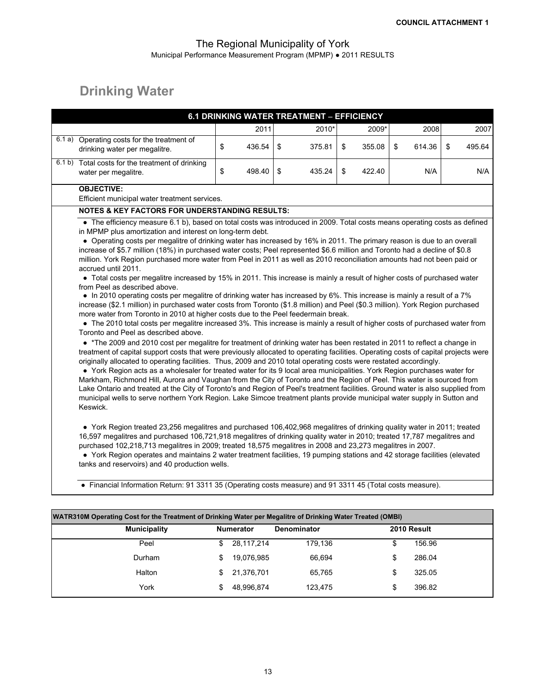# **Drinking Water**

|                                                                                                                                                                                                                                                                                                                                                                                                                                                                                                                                                                                                                                                                                                                                                                                                                                                                                                                                                                                                                                                                                                                                                                                                                                                                                                                                                                                                                                                                                                                                                                                                                                                                                                                                                                                                                                                                                                                                                                                                                                                                                                                                                                                                                                                                                                                                                  |                    | 6.1 DRINKING WATER TREATMENT - EFFICIENCY |              |              |              |
|--------------------------------------------------------------------------------------------------------------------------------------------------------------------------------------------------------------------------------------------------------------------------------------------------------------------------------------------------------------------------------------------------------------------------------------------------------------------------------------------------------------------------------------------------------------------------------------------------------------------------------------------------------------------------------------------------------------------------------------------------------------------------------------------------------------------------------------------------------------------------------------------------------------------------------------------------------------------------------------------------------------------------------------------------------------------------------------------------------------------------------------------------------------------------------------------------------------------------------------------------------------------------------------------------------------------------------------------------------------------------------------------------------------------------------------------------------------------------------------------------------------------------------------------------------------------------------------------------------------------------------------------------------------------------------------------------------------------------------------------------------------------------------------------------------------------------------------------------------------------------------------------------------------------------------------------------------------------------------------------------------------------------------------------------------------------------------------------------------------------------------------------------------------------------------------------------------------------------------------------------------------------------------------------------------------------------------------------------|--------------------|-------------------------------------------|--------------|--------------|--------------|
|                                                                                                                                                                                                                                                                                                                                                                                                                                                                                                                                                                                                                                                                                                                                                                                                                                                                                                                                                                                                                                                                                                                                                                                                                                                                                                                                                                                                                                                                                                                                                                                                                                                                                                                                                                                                                                                                                                                                                                                                                                                                                                                                                                                                                                                                                                                                                  | 2011               | 2010*                                     | 2009*        | 2008         | 2007         |
| 6.1 a) Operating costs for the treatment of<br>drinking water per megalitre.                                                                                                                                                                                                                                                                                                                                                                                                                                                                                                                                                                                                                                                                                                                                                                                                                                                                                                                                                                                                                                                                                                                                                                                                                                                                                                                                                                                                                                                                                                                                                                                                                                                                                                                                                                                                                                                                                                                                                                                                                                                                                                                                                                                                                                                                     | \$<br>436.54       | \$<br>375.81                              | \$<br>355.08 | \$<br>614.36 | \$<br>495.64 |
| 6.1 b) Total costs for the treatment of drinking<br>water per megalitre.                                                                                                                                                                                                                                                                                                                                                                                                                                                                                                                                                                                                                                                                                                                                                                                                                                                                                                                                                                                                                                                                                                                                                                                                                                                                                                                                                                                                                                                                                                                                                                                                                                                                                                                                                                                                                                                                                                                                                                                                                                                                                                                                                                                                                                                                         | \$<br>498.40       | \$<br>435.24                              | \$<br>422.40 | N/A          | N/A          |
| <b>OBJECTIVE:</b><br>Efficient municipal water treatment services.                                                                                                                                                                                                                                                                                                                                                                                                                                                                                                                                                                                                                                                                                                                                                                                                                                                                                                                                                                                                                                                                                                                                                                                                                                                                                                                                                                                                                                                                                                                                                                                                                                                                                                                                                                                                                                                                                                                                                                                                                                                                                                                                                                                                                                                                               |                    |                                           |              |              |              |
| <b>NOTES &amp; KEY FACTORS FOR UNDERSTANDING RESULTS:</b>                                                                                                                                                                                                                                                                                                                                                                                                                                                                                                                                                                                                                                                                                                                                                                                                                                                                                                                                                                                                                                                                                                                                                                                                                                                                                                                                                                                                                                                                                                                                                                                                                                                                                                                                                                                                                                                                                                                                                                                                                                                                                                                                                                                                                                                                                        |                    |                                           |              |              |              |
| • The efficiency measure 6.1 b), based on total costs was introduced in 2009. Total costs means operating costs as defined<br>in MPMP plus amortization and interest on long-term debt.<br>• Operating costs per megalitre of drinking water has increased by 16% in 2011. The primary reason is due to an overall<br>increase of \$5.7 million (18%) in purchased water costs; Peel represented \$6.6 million and Toronto had a decline of \$0.8<br>million. York Region purchased more water from Peel in 2011 as well as 2010 reconciliation amounts had not been paid or<br>accrued until 2011.<br>• Total costs per megalitre increased by 15% in 2011. This increase is mainly a result of higher costs of purchased water<br>from Peel as described above.<br>• In 2010 operating costs per megalitre of drinking water has increased by 6%. This increase is mainly a result of a 7%<br>increase (\$2.1 million) in purchased water costs from Toronto (\$1.8 million) and Peel (\$0.3 million). York Region purchased<br>more water from Toronto in 2010 at higher costs due to the Peel feedermain break.<br>• The 2010 total costs per megalitre increased 3%. This increase is mainly a result of higher costs of purchased water from<br>Toronto and Peel as described above.<br>• *The 2009 and 2010 cost per megalitre for treatment of drinking water has been restated in 2011 to reflect a change in<br>treatment of capital support costs that were previously allocated to operating facilities. Operating costs of capital projects were<br>originally allocated to operating facilities. Thus, 2009 and 2010 total operating costs were restated accordingly.<br>• York Region acts as a wholesaler for treated water for its 9 local area municipalities. York Region purchases water for<br>Markham, Richmond Hill, Aurora and Vaughan from the City of Toronto and the Region of Peel. This water is sourced from<br>Lake Ontario and treated at the City of Toronto's and Region of Peel's treatment facilities. Ground water is also supplied from<br>municipal wells to serve northern York Region. Lake Simcoe treatment plants provide municipal water supply in Sutton and<br>Keswick.<br>• York Region treated 23,256 megalitres and purchased 106,402,968 megalitres of drinking quality water in 2011; treated |                    |                                           |              |              |              |
| 16,597 megalitres and purchased 106,721,918 megalitres of drinking quality water in 2010; treated 17,787 megalitres and<br>purchased 102,218,713 megalitres in 2009; treated 18,575 megalitres in 2008 and 23,273 megalitres in 2007.<br>• York Region operates and maintains 2 water treatment facilities, 19 pumping stations and 42 storage facilities (elevated<br>tanks and reservoirs) and 40 production wells.                                                                                                                                                                                                                                                                                                                                                                                                                                                                                                                                                                                                                                                                                                                                                                                                                                                                                                                                                                                                                                                                                                                                                                                                                                                                                                                                                                                                                                                                                                                                                                                                                                                                                                                                                                                                                                                                                                                            |                    |                                           |              |              |              |
| • Financial Information Return: 91 3311 35 (Operating costs measure) and 91 3311 45 (Total costs measure).                                                                                                                                                                                                                                                                                                                                                                                                                                                                                                                                                                                                                                                                                                                                                                                                                                                                                                                                                                                                                                                                                                                                                                                                                                                                                                                                                                                                                                                                                                                                                                                                                                                                                                                                                                                                                                                                                                                                                                                                                                                                                                                                                                                                                                       |                    |                                           |              |              |              |
|                                                                                                                                                                                                                                                                                                                                                                                                                                                                                                                                                                                                                                                                                                                                                                                                                                                                                                                                                                                                                                                                                                                                                                                                                                                                                                                                                                                                                                                                                                                                                                                                                                                                                                                                                                                                                                                                                                                                                                                                                                                                                                                                                                                                                                                                                                                                                  |                    |                                           |              |              |              |
| WATR310M Operating Cost for the Treatment of Drinking Water per Megalitre of Drinking Water Treated (OMBI)                                                                                                                                                                                                                                                                                                                                                                                                                                                                                                                                                                                                                                                                                                                                                                                                                                                                                                                                                                                                                                                                                                                                                                                                                                                                                                                                                                                                                                                                                                                                                                                                                                                                                                                                                                                                                                                                                                                                                                                                                                                                                                                                                                                                                                       |                    |                                           |              |              |              |
| <b>Municipality</b>                                                                                                                                                                                                                                                                                                                                                                                                                                                                                                                                                                                                                                                                                                                                                                                                                                                                                                                                                                                                                                                                                                                                                                                                                                                                                                                                                                                                                                                                                                                                                                                                                                                                                                                                                                                                                                                                                                                                                                                                                                                                                                                                                                                                                                                                                                                              | <b>Numerator</b>   | Denominator                               |              | 2010 Result  |              |
| Peel                                                                                                                                                                                                                                                                                                                                                                                                                                                                                                                                                                                                                                                                                                                                                                                                                                                                                                                                                                                                                                                                                                                                                                                                                                                                                                                                                                                                                                                                                                                                                                                                                                                                                                                                                                                                                                                                                                                                                                                                                                                                                                                                                                                                                                                                                                                                             | \$<br>28, 117, 214 | 179,136                                   |              | \$<br>156.96 |              |
| Durham                                                                                                                                                                                                                                                                                                                                                                                                                                                                                                                                                                                                                                                                                                                                                                                                                                                                                                                                                                                                                                                                                                                                                                                                                                                                                                                                                                                                                                                                                                                                                                                                                                                                                                                                                                                                                                                                                                                                                                                                                                                                                                                                                                                                                                                                                                                                           | \$<br>19,076,985   | 66,694                                    |              | \$<br>286.04 |              |
| Halton                                                                                                                                                                                                                                                                                                                                                                                                                                                                                                                                                                                                                                                                                                                                                                                                                                                                                                                                                                                                                                                                                                                                                                                                                                                                                                                                                                                                                                                                                                                                                                                                                                                                                                                                                                                                                                                                                                                                                                                                                                                                                                                                                                                                                                                                                                                                           | \$<br>21,376,701   | 65,765                                    |              | \$<br>325.05 |              |

York \$48,996,874 123,475 \$396.82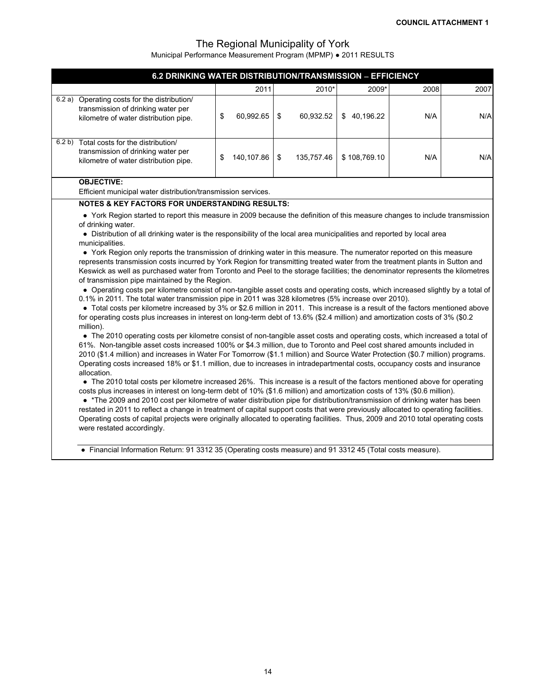| 6.2 DRINKING WATER DISTRIBUTION/TRANSMISSION - EFFICIENCY                                                                                                                                                                                                                                                                                                                                                                                                                                                                                                                                                                                                                                                                                                                                                                                                                                                                                                                                                                                                                                                                                                                                                                                                                                                                                                                                                                                                                                                                                                                                                                                                                                                                                                                                                                                                                                                                                                                                                                                                                                                                                                                                                                                                                                                                                                                                                                                                                                                                                                                                                                                                                                 |                  |                  |                 |      |      |
|-------------------------------------------------------------------------------------------------------------------------------------------------------------------------------------------------------------------------------------------------------------------------------------------------------------------------------------------------------------------------------------------------------------------------------------------------------------------------------------------------------------------------------------------------------------------------------------------------------------------------------------------------------------------------------------------------------------------------------------------------------------------------------------------------------------------------------------------------------------------------------------------------------------------------------------------------------------------------------------------------------------------------------------------------------------------------------------------------------------------------------------------------------------------------------------------------------------------------------------------------------------------------------------------------------------------------------------------------------------------------------------------------------------------------------------------------------------------------------------------------------------------------------------------------------------------------------------------------------------------------------------------------------------------------------------------------------------------------------------------------------------------------------------------------------------------------------------------------------------------------------------------------------------------------------------------------------------------------------------------------------------------------------------------------------------------------------------------------------------------------------------------------------------------------------------------------------------------------------------------------------------------------------------------------------------------------------------------------------------------------------------------------------------------------------------------------------------------------------------------------------------------------------------------------------------------------------------------------------------------------------------------------------------------------------------------|------------------|------------------|-----------------|------|------|
|                                                                                                                                                                                                                                                                                                                                                                                                                                                                                                                                                                                                                                                                                                                                                                                                                                                                                                                                                                                                                                                                                                                                                                                                                                                                                                                                                                                                                                                                                                                                                                                                                                                                                                                                                                                                                                                                                                                                                                                                                                                                                                                                                                                                                                                                                                                                                                                                                                                                                                                                                                                                                                                                                           | 2011             | 2010*            | 2009*           | 2008 | 2007 |
| 6.2 a) Operating costs for the distribution/<br>transmission of drinking water per<br>kilometre of water distribution pipe.                                                                                                                                                                                                                                                                                                                                                                                                                                                                                                                                                                                                                                                                                                                                                                                                                                                                                                                                                                                                                                                                                                                                                                                                                                                                                                                                                                                                                                                                                                                                                                                                                                                                                                                                                                                                                                                                                                                                                                                                                                                                                                                                                                                                                                                                                                                                                                                                                                                                                                                                                               | \$<br>60,992.65  | \$<br>60,932.52  | 40,196.22<br>\$ | N/A  | N/A  |
| 6.2 b) Total costs for the distribution/<br>transmission of drinking water per<br>kilometre of water distribution pipe.                                                                                                                                                                                                                                                                                                                                                                                                                                                                                                                                                                                                                                                                                                                                                                                                                                                                                                                                                                                                                                                                                                                                                                                                                                                                                                                                                                                                                                                                                                                                                                                                                                                                                                                                                                                                                                                                                                                                                                                                                                                                                                                                                                                                                                                                                                                                                                                                                                                                                                                                                                   | \$<br>140,107.86 | \$<br>135,757.46 | \$108,769.10    | N/A  | N/A  |
| <b>OBJECTIVE:</b><br>Efficient municipal water distribution/transmission services.                                                                                                                                                                                                                                                                                                                                                                                                                                                                                                                                                                                                                                                                                                                                                                                                                                                                                                                                                                                                                                                                                                                                                                                                                                                                                                                                                                                                                                                                                                                                                                                                                                                                                                                                                                                                                                                                                                                                                                                                                                                                                                                                                                                                                                                                                                                                                                                                                                                                                                                                                                                                        |                  |                  |                 |      |      |
| <b>NOTES &amp; KEY FACTORS FOR UNDERSTANDING RESULTS:</b><br>• York Region started to report this measure in 2009 because the definition of this measure changes to include transmission<br>of drinking water.<br>• Distribution of all drinking water is the responsibility of the local area municipalities and reported by local area<br>municipalities.<br>• York Region only reports the transmission of drinking water in this measure. The numerator reported on this measure<br>represents transmission costs incurred by York Region for transmitting treated water from the treatment plants in Sutton and<br>Keswick as well as purchased water from Toronto and Peel to the storage facilities; the denominator represents the kilometres<br>of transmission pipe maintained by the Region.<br>• Operating costs per kilometre consist of non-tangible asset costs and operating costs, which increased slightly by a total of<br>0.1% in 2011. The total water transmission pipe in 2011 was 328 kilometres (5% increase over 2010).<br>• Total costs per kilometre increased by 3% or \$2.6 million in 2011. This increase is a result of the factors mentioned above<br>for operating costs plus increases in interest on long-term debt of 13.6% (\$2.4 million) and amortization costs of 3% (\$0.2<br>million).<br>• The 2010 operating costs per kilometre consist of non-tangible asset costs and operating costs, which increased a total of<br>61%. Non-tangible asset costs increased 100% or \$4.3 million, due to Toronto and Peel cost shared amounts included in<br>2010 (\$1.4 million) and increases in Water For Tomorrow (\$1.1 million) and Source Water Protection (\$0.7 million) programs.<br>Operating costs increased 18% or \$1.1 million, due to increases in intradepartmental costs, occupancy costs and insurance<br>allocation.<br>• The 2010 total costs per kilometre increased 26%. This increase is a result of the factors mentioned above for operating<br>costs plus increases in interest on long-term debt of 10% (\$1.6 million) and amortization costs of 13% (\$0.6 million).<br>• *The 2009 and 2010 cost per kilometre of water distribution pipe for distribution/transmission of drinking water has been<br>restated in 2011 to reflect a change in treatment of capital support costs that were previously allocated to operating facilities.<br>Operating costs of capital projects were originally allocated to operating facilities. Thus, 2009 and 2010 total operating costs<br>were restated accordingly.<br>• Financial Information Return: 91 3312 35 (Operating costs measure) and 91 3312 45 (Total costs measure). |                  |                  |                 |      |      |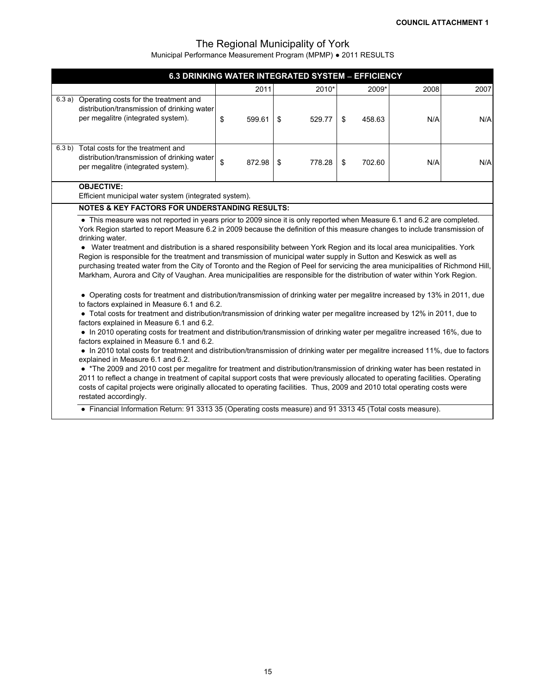| 6.3 DRINKING WATER INTEGRATED SYSTEM - EFFICIENCY                                                                                                                                                                                                                                                                                                                                                                                                                                                                                                                                                                                                                                                                                                                                                                                                                                                                                                                                                                                                                                                                                                                                                                                                                                                                                                                                                                                                                                                                                                                                                                                                                                                                                                                                                                                                                                                                                                                                                                                     |    |        |    |        |    |        |      |      |
|---------------------------------------------------------------------------------------------------------------------------------------------------------------------------------------------------------------------------------------------------------------------------------------------------------------------------------------------------------------------------------------------------------------------------------------------------------------------------------------------------------------------------------------------------------------------------------------------------------------------------------------------------------------------------------------------------------------------------------------------------------------------------------------------------------------------------------------------------------------------------------------------------------------------------------------------------------------------------------------------------------------------------------------------------------------------------------------------------------------------------------------------------------------------------------------------------------------------------------------------------------------------------------------------------------------------------------------------------------------------------------------------------------------------------------------------------------------------------------------------------------------------------------------------------------------------------------------------------------------------------------------------------------------------------------------------------------------------------------------------------------------------------------------------------------------------------------------------------------------------------------------------------------------------------------------------------------------------------------------------------------------------------------------|----|--------|----|--------|----|--------|------|------|
|                                                                                                                                                                                                                                                                                                                                                                                                                                                                                                                                                                                                                                                                                                                                                                                                                                                                                                                                                                                                                                                                                                                                                                                                                                                                                                                                                                                                                                                                                                                                                                                                                                                                                                                                                                                                                                                                                                                                                                                                                                       |    | 2011   |    | 2010*  |    | 2009*  | 2008 | 2007 |
| 6.3 a) Operating costs for the treatment and<br>distribution/transmission of drinking water<br>per megalitre (integrated system).                                                                                                                                                                                                                                                                                                                                                                                                                                                                                                                                                                                                                                                                                                                                                                                                                                                                                                                                                                                                                                                                                                                                                                                                                                                                                                                                                                                                                                                                                                                                                                                                                                                                                                                                                                                                                                                                                                     | \$ | 599.61 | \$ | 529.77 | \$ | 458.63 | N/A  | N/A  |
| 6.3 b) Total costs for the treatment and<br>distribution/transmission of drinking water<br>per megalitre (integrated system).                                                                                                                                                                                                                                                                                                                                                                                                                                                                                                                                                                                                                                                                                                                                                                                                                                                                                                                                                                                                                                                                                                                                                                                                                                                                                                                                                                                                                                                                                                                                                                                                                                                                                                                                                                                                                                                                                                         | \$ | 872.98 | \$ | 778.28 | \$ | 702.60 | N/A  | N/A  |
| <b>OBJECTIVE:</b>                                                                                                                                                                                                                                                                                                                                                                                                                                                                                                                                                                                                                                                                                                                                                                                                                                                                                                                                                                                                                                                                                                                                                                                                                                                                                                                                                                                                                                                                                                                                                                                                                                                                                                                                                                                                                                                                                                                                                                                                                     |    |        |    |        |    |        |      |      |
|                                                                                                                                                                                                                                                                                                                                                                                                                                                                                                                                                                                                                                                                                                                                                                                                                                                                                                                                                                                                                                                                                                                                                                                                                                                                                                                                                                                                                                                                                                                                                                                                                                                                                                                                                                                                                                                                                                                                                                                                                                       |    |        |    |        |    |        |      |      |
| Efficient municipal water system (integrated system).<br><b>NOTES &amp; KEY FACTORS FOR UNDERSTANDING RESULTS:</b><br>• This measure was not reported in years prior to 2009 since it is only reported when Measure 6.1 and 6.2 are completed.<br>York Region started to report Measure 6.2 in 2009 because the definition of this measure changes to include transmission of<br>drinking water.<br>• Water treatment and distribution is a shared responsibility between York Region and its local area municipalities. York<br>Region is responsible for the treatment and transmission of municipal water supply in Sutton and Keswick as well as<br>purchasing treated water from the City of Toronto and the Region of Peel for servicing the area municipalities of Richmond Hill,<br>Markham, Aurora and City of Vaughan. Area municipalities are responsible for the distribution of water within York Region.<br>• Operating costs for treatment and distribution/transmission of drinking water per megalitre increased by 13% in 2011, due<br>to factors explained in Measure 6.1 and 6.2.<br>• Total costs for treatment and distribution/transmission of drinking water per megalitre increased by 12% in 2011, due to<br>factors explained in Measure 6.1 and 6.2.<br>• In 2010 operating costs for treatment and distribution/transmission of drinking water per megalitre increased 16%, due to<br>factors explained in Measure 6.1 and 6.2.<br>• In 2010 total costs for treatment and distribution/transmission of drinking water per megalitre increased 11%, due to factors<br>explained in Measure 6.1 and 6.2.<br>• *The 2009 and 2010 cost per megalitre for treatment and distribution/transmission of drinking water has been restated in<br>2011 to reflect a change in treatment of capital support costs that were previously allocated to operating facilities. Operating<br>costs of capital projects were originally allocated to operating facilities. Thus, 2009 and 2010 total operating costs were |    |        |    |        |    |        |      |      |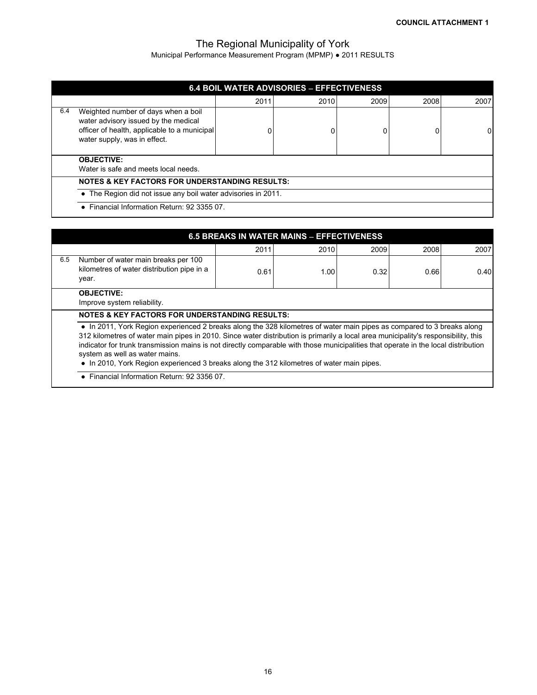Municipal Performance Measurement Program (MPMP) ● 2011 RESULTS

|     |                                                                                                                                                             |      | <b>6.4 BOIL WATER ADVISORIES - EFFECTIVENESS</b> |      |      |      |  |  |  |  |
|-----|-------------------------------------------------------------------------------------------------------------------------------------------------------------|------|--------------------------------------------------|------|------|------|--|--|--|--|
|     |                                                                                                                                                             | 2011 | 2010                                             | 2009 | 2008 | 2007 |  |  |  |  |
| 6.4 | Weighted number of days when a boil<br>water advisory issued by the medical<br>officer of health, applicable to a municipal<br>water supply, was in effect. |      |                                                  | 0    |      | 01   |  |  |  |  |
|     | <b>OBJECTIVE:</b><br>Water is safe and meets local needs.                                                                                                   |      |                                                  |      |      |      |  |  |  |  |
|     | <b>NOTES &amp; KEY FACTORS FOR UNDERSTANDING RESULTS:</b>                                                                                                   |      |                                                  |      |      |      |  |  |  |  |
|     | • The Region did not issue any boil water advisories in 2011.                                                                                               |      |                                                  |      |      |      |  |  |  |  |
|     | • Financial Information Return: 92 3355 07.                                                                                                                 |      |                                                  |      |      |      |  |  |  |  |

|     | 6.5 BREAKS IN WATER MAINS - EFFECTIVENESS                                                                                                                                                                                                                                                                                                                                                                                                                                                                                         |      |      |      |      |      |  |  |  |  |  |
|-----|-----------------------------------------------------------------------------------------------------------------------------------------------------------------------------------------------------------------------------------------------------------------------------------------------------------------------------------------------------------------------------------------------------------------------------------------------------------------------------------------------------------------------------------|------|------|------|------|------|--|--|--|--|--|
|     |                                                                                                                                                                                                                                                                                                                                                                                                                                                                                                                                   | 2011 | 2010 | 2009 | 2008 | 2007 |  |  |  |  |  |
| 6.5 | Number of water main breaks per 100<br>kilometres of water distribution pipe in a<br>year.                                                                                                                                                                                                                                                                                                                                                                                                                                        | 0.61 | 1.00 | 0.32 | 0.66 | 0.40 |  |  |  |  |  |
|     | <b>OBJECTIVE:</b><br>Improve system reliability.                                                                                                                                                                                                                                                                                                                                                                                                                                                                                  |      |      |      |      |      |  |  |  |  |  |
|     | <b>NOTES &amp; KEY FACTORS FOR UNDERSTANDING RESULTS:</b>                                                                                                                                                                                                                                                                                                                                                                                                                                                                         |      |      |      |      |      |  |  |  |  |  |
|     | • In 2011, York Region experienced 2 breaks along the 328 kilometres of water main pipes as compared to 3 breaks along<br>312 kilometres of water main pipes in 2010. Since water distribution is primarily a local area municipality's responsibility, this<br>indicator for trunk transmission mains is not directly comparable with those municipalities that operate in the local distribution<br>system as well as water mains.<br>• In 2010, York Region experienced 3 breaks along the 312 kilometres of water main pipes. |      |      |      |      |      |  |  |  |  |  |

**●** Financial Information Return: 92 3356 07.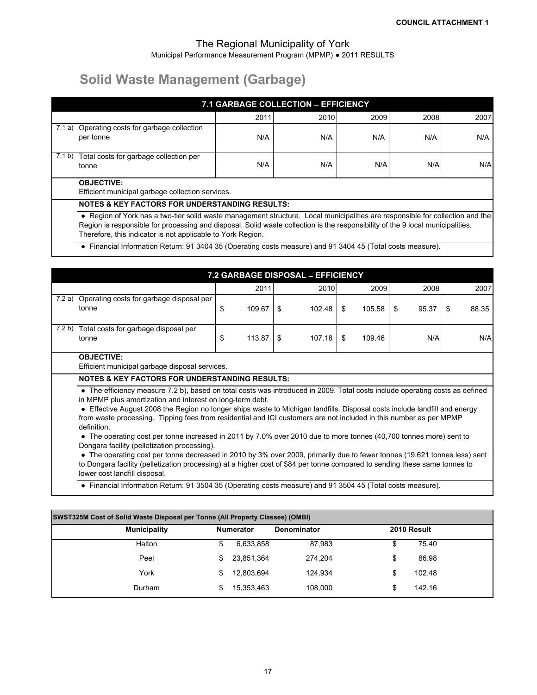# **Solid Waste Management (Garbage)**

|                                                                       |                                                                                                                                                                                                                                                                 | <b>7.1 GARBAGE COLLECTION - EFFICIENCY</b> |      |      |      |      |  |  |
|-----------------------------------------------------------------------|-----------------------------------------------------------------------------------------------------------------------------------------------------------------------------------------------------------------------------------------------------------------|--------------------------------------------|------|------|------|------|--|--|
|                                                                       |                                                                                                                                                                                                                                                                 | 2011                                       | 2010 | 2009 | 2008 | 2007 |  |  |
|                                                                       | 7.1 a) Operating costs for garbage collection<br>per tonne                                                                                                                                                                                                      | N/A                                        | N/A  | N/A  | N/A  | N/A  |  |  |
|                                                                       | 7.1 b) Total costs for garbage collection per<br>tonne                                                                                                                                                                                                          | N/A                                        | N/A  | N/A  | N/A  | N/A  |  |  |
| <b>OBJECTIVE:</b><br>Efficient municipal garbage collection services. |                                                                                                                                                                                                                                                                 |                                            |      |      |      |      |  |  |
|                                                                       | <b>NOTES &amp; KEY FACTORS FOR UNDERSTANDING RESULTS:</b>                                                                                                                                                                                                       |                                            |      |      |      |      |  |  |
|                                                                       | • Region of York has a two-tier solid waste management structure. Local municipalities are responsible for collection and the<br>Region is responsible for processing and disposal. Solid waste collection is the responsibility of the 9 local municipalities. |                                            |      |      |      |      |  |  |

Therefore, this indicator is not applicable to York Region.

**●** Financial Information Return: 91 3404 35 (Operating costs measure) and 91 3404 45 (Total costs measure).

|        |                                                                                                                                                                                                                                                                                                                                                                                                                                                                                                                                                                                                                                                                                                                                                                                                                                                                                                                                                                                             |    |        |     | 7.2 GARBAGE DISPOSAL - EFFICIENCY |    |        |    |       |    |       |
|--------|---------------------------------------------------------------------------------------------------------------------------------------------------------------------------------------------------------------------------------------------------------------------------------------------------------------------------------------------------------------------------------------------------------------------------------------------------------------------------------------------------------------------------------------------------------------------------------------------------------------------------------------------------------------------------------------------------------------------------------------------------------------------------------------------------------------------------------------------------------------------------------------------------------------------------------------------------------------------------------------------|----|--------|-----|-----------------------------------|----|--------|----|-------|----|-------|
|        |                                                                                                                                                                                                                                                                                                                                                                                                                                                                                                                                                                                                                                                                                                                                                                                                                                                                                                                                                                                             |    | 2011   |     | 2010                              |    | 2009   |    | 2008  |    | 2007  |
| 7.2 a) | Operating costs for garbage disposal per<br>tonne                                                                                                                                                                                                                                                                                                                                                                                                                                                                                                                                                                                                                                                                                                                                                                                                                                                                                                                                           | \$ | 109.67 | S   | 102.48                            | \$ | 105.58 | -S | 95.37 | \$ | 88.35 |
| 7.2 b) | Total costs for garbage disposal per<br>tonne                                                                                                                                                                                                                                                                                                                                                                                                                                                                                                                                                                                                                                                                                                                                                                                                                                                                                                                                               | \$ | 113.87 | -SG | 107.18                            | \$ | 109.46 |    | N/A   |    | N/A   |
|        | <b>OBJECTIVE:</b><br>Efficient municipal garbage disposal services.                                                                                                                                                                                                                                                                                                                                                                                                                                                                                                                                                                                                                                                                                                                                                                                                                                                                                                                         |    |        |     |                                   |    |        |    |       |    |       |
|        |                                                                                                                                                                                                                                                                                                                                                                                                                                                                                                                                                                                                                                                                                                                                                                                                                                                                                                                                                                                             |    |        |     |                                   |    |        |    |       |    |       |
|        | <b>NOTES &amp; KEY FACTORS FOR UNDERSTANDING RESULTS:</b><br>• The efficiency measure 7.2 b), based on total costs was introduced in 2009. Total costs include operating costs as defined<br>in MPMP plus amortization and interest on long-term debt.<br>• Effective August 2008 the Region no longer ships waste to Michigan landfills. Disposal costs include landfill and energy<br>from waste processing. Tipping fees from residential and ICI customers are not included in this number as per MPMP<br>definition.<br>• The operating cost per tonne increased in 2011 by 7.0% over 2010 due to more tonnes (40,700 tonnes more) sent to<br>Dongara facility (pelletization processing).<br>• The operating cost per tonne decreased in 2010 by 3% over 2009, primarily due to fewer tonnes (19,621 tonnes less) sent<br>to Dongara facility (pelletization processing) at a higher cost of \$84 per tonne compared to sending these same tonnes to<br>lower cost landfill disposal. |    |        |     |                                   |    |        |    |       |    |       |

**●** Financial Information Return: 91 3504 35 (Operating costs measure) and 91 3504 45 (Total costs measure).

| <b>SWST325M Cost of Solid Waste Disposal per Tonne (All Property Classes) (OMBI)</b> |                  |                    |              |  |  |  |  |  |  |
|--------------------------------------------------------------------------------------|------------------|--------------------|--------------|--|--|--|--|--|--|
| <b>Municipality</b>                                                                  | <b>Numerator</b> | <b>Denominator</b> | 2010 Result  |  |  |  |  |  |  |
| Halton                                                                               | 6,633,858        | 87,983             | 75.40<br>\$  |  |  |  |  |  |  |
| Peel                                                                                 | 23,851,364       | 274.204            | \$<br>86.98  |  |  |  |  |  |  |
| York                                                                                 | 12,803,694       | 124.934            | \$<br>102.48 |  |  |  |  |  |  |
| Durham                                                                               | 15,353,463       | 108.000            | \$<br>142.16 |  |  |  |  |  |  |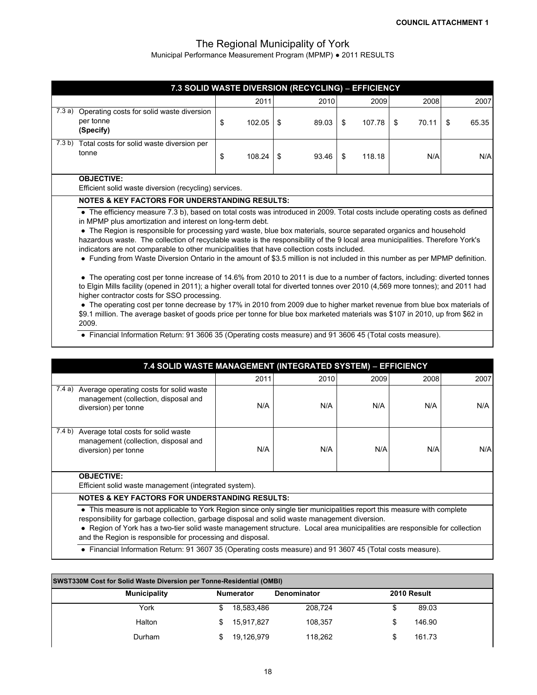Municipal Performance Measurement Program (MPMP) ● 2011 RESULTS

|                  | 7.3 SOLID WASTE DIVERSION (RECYCLING) - EFFICIENCY                                                                                                                                                                                                                                                                                                                                                                                                                                                                                                                                                                                                                                                                                                                                                                                                                                                                                                                                                 |    |        |      |       |    |        |    |       |     |       |
|------------------|----------------------------------------------------------------------------------------------------------------------------------------------------------------------------------------------------------------------------------------------------------------------------------------------------------------------------------------------------------------------------------------------------------------------------------------------------------------------------------------------------------------------------------------------------------------------------------------------------------------------------------------------------------------------------------------------------------------------------------------------------------------------------------------------------------------------------------------------------------------------------------------------------------------------------------------------------------------------------------------------------|----|--------|------|-------|----|--------|----|-------|-----|-------|
|                  |                                                                                                                                                                                                                                                                                                                                                                                                                                                                                                                                                                                                                                                                                                                                                                                                                                                                                                                                                                                                    |    | 2011   |      | 2010  |    | 2009   |    | 2008  |     | 2007  |
| 7.3a)            | Operating costs for solid waste diversion<br>per tonne<br>(Specify)                                                                                                                                                                                                                                                                                                                                                                                                                                                                                                                                                                                                                                                                                                                                                                                                                                                                                                                                | \$ | 102.05 | -\$  | 89.03 | \$ | 107.78 | \$ | 70.11 | \$. | 65.35 |
| 7.3 <sub>b</sub> | Total costs for solid waste diversion per<br>tonne                                                                                                                                                                                                                                                                                                                                                                                                                                                                                                                                                                                                                                                                                                                                                                                                                                                                                                                                                 | \$ | 108.24 | - \$ | 93.46 | \$ | 118.18 |    | N/A   |     | N/A   |
|                  | <b>OBJECTIVE:</b><br>Efficient solid waste diversion (recycling) services.                                                                                                                                                                                                                                                                                                                                                                                                                                                                                                                                                                                                                                                                                                                                                                                                                                                                                                                         |    |        |      |       |    |        |    |       |     |       |
|                  | <b>NOTES &amp; KEY FACTORS FOR UNDERSTANDING RESULTS:</b>                                                                                                                                                                                                                                                                                                                                                                                                                                                                                                                                                                                                                                                                                                                                                                                                                                                                                                                                          |    |        |      |       |    |        |    |       |     |       |
|                  | • The efficiency measure 7.3 b), based on total costs was introduced in 2009. Total costs include operating costs as defined<br>in MPMP plus amortization and interest on long-term debt.<br>• The Region is responsible for processing yard waste, blue box materials, source separated organics and household<br>hazardous waste. The collection of recyclable waste is the responsibility of the 9 local area municipalities. Therefore York's<br>indicators are not comparable to other municipalities that have collection costs included.<br>• Funding from Waste Diversion Ontario in the amount of \$3.5 million is not included in this number as per MPMP definition.<br>• The operating cost per tonne increase of 14.6% from 2010 to 2011 is due to a number of factors, including: diverted tonnes<br>to Elgin Mills facility (opened in 2011); a higher overall total for diverted tonnes over 2010 (4,569 more tonnes); and 2011 had<br>higher contractor costs for SSO processing. |    |        |      |       |    |        |    |       |     |       |
|                  | • The operating cost per tonne decrease by 17% in 2010 from 2009 due to higher market revenue from blue box materials of<br>\$9.1 million. The average basket of goods price per tonne for blue box marketed materials was \$107 in 2010, up from \$62 in<br>2009.                                                                                                                                                                                                                                                                                                                                                                                                                                                                                                                                                                                                                                                                                                                                 |    |        |      |       |    |        |    |       |     |       |
|                  | • Financial Information Return: 91 3606 35 (Operating costs measure) and 91 3606 45 (Total costs measure).                                                                                                                                                                                                                                                                                                                                                                                                                                                                                                                                                                                                                                                                                                                                                                                                                                                                                         |    |        |      |       |    |        |    |       |     |       |

|        | 7.4 SOLID WASTE MANAGEMENT (INTEGRATED SYSTEM) - EFFICIENCY                                                                                                                                                                                                                                                                                            |      |      |      |      |      |  |  |
|--------|--------------------------------------------------------------------------------------------------------------------------------------------------------------------------------------------------------------------------------------------------------------------------------------------------------------------------------------------------------|------|------|------|------|------|--|--|
|        |                                                                                                                                                                                                                                                                                                                                                        | 2011 | 2010 | 2009 | 2008 | 2007 |  |  |
| 7.4a)  | Average operating costs for solid waste<br>management (collection, disposal and<br>diversion) per tonne                                                                                                                                                                                                                                                | N/A  | N/A  | N/A  | N/A  | N/A  |  |  |
| 7.4 b) | Average total costs for solid waste<br>management (collection, disposal and<br>diversion) per tonne                                                                                                                                                                                                                                                    | N/A  | N/A  | N/A  | N/A  | N/AI |  |  |
|        | <b>OBJECTIVE:</b><br>Efficient solid waste management (integrated system).                                                                                                                                                                                                                                                                             |      |      |      |      |      |  |  |
|        | <b>NOTES &amp; KEY FACTORS FOR UNDERSTANDING RESULTS:</b>                                                                                                                                                                                                                                                                                              |      |      |      |      |      |  |  |
|        | • This measure is not applicable to York Region since only single tier municipalities report this measure with complete<br>responsibility for garbage collection, garbage disposal and solid waste management diversion.<br>• Region of York has a two-tier solid waste management structure. Local area municipalities are responsible for collection |      |      |      |      |      |  |  |

and the Region is responsible for processing and disposal.

**●** Financial Information Return: 91 3607 35 (Operating costs measure) and 91 3607 45 (Total costs measure).

| <b>SWST330M Cost for Solid Waste Diversion per Tonne-Residential (OMBI)</b> |                  |                    |             |  |  |  |  |  |  |  |
|-----------------------------------------------------------------------------|------------------|--------------------|-------------|--|--|--|--|--|--|--|
| <b>Municipality</b>                                                         | <b>Numerator</b> | <b>Denominator</b> | 2010 Result |  |  |  |  |  |  |  |
| York                                                                        | 18,583,486       | 208.724            | 89.03       |  |  |  |  |  |  |  |
| Halton                                                                      | 15.917.827       | 108.357            | 146.90      |  |  |  |  |  |  |  |
| Durham                                                                      | 19,126,979       | 118.262            | 161.73      |  |  |  |  |  |  |  |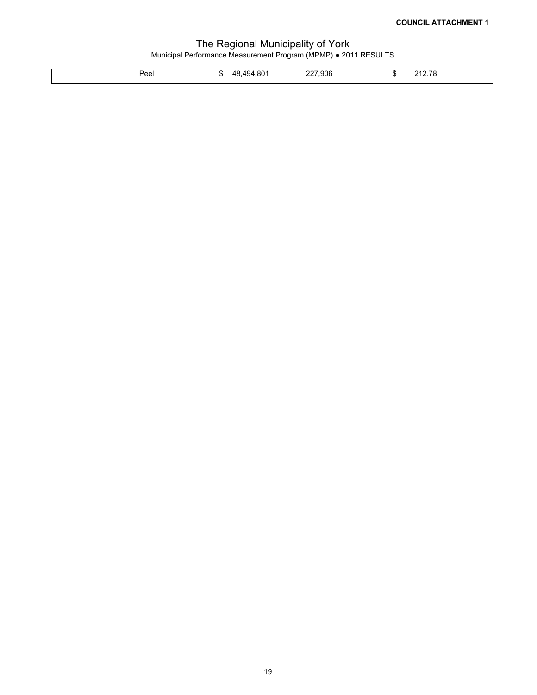| Peel |  | \$ 48.494.801 | 227,906 | æ. | 212.78 |
|------|--|---------------|---------|----|--------|
|------|--|---------------|---------|----|--------|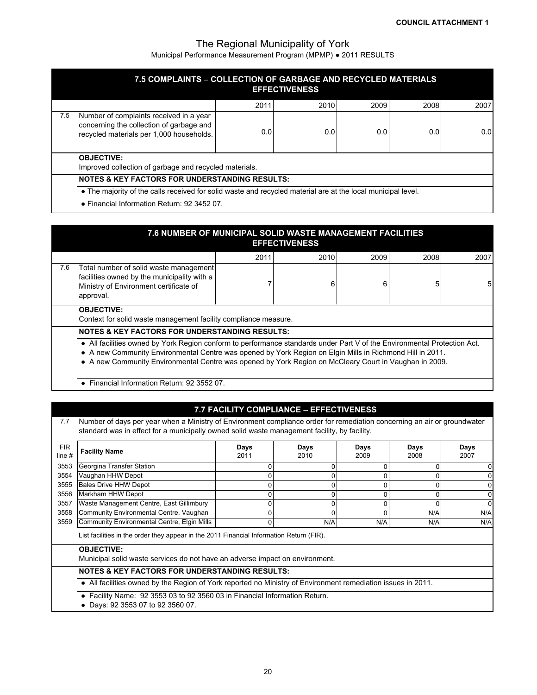Municipal Performance Measurement Program (MPMP) ● 2011 RESULTS

|     | 7.5 COMPLAINTS - COLLECTION OF GARBAGE AND RECYCLED MATERIALS                                                                   |      | <b>EFFECTIVENESS</b> |      |      |      |  |  |  |  |
|-----|---------------------------------------------------------------------------------------------------------------------------------|------|----------------------|------|------|------|--|--|--|--|
|     |                                                                                                                                 | 2011 | 2010                 | 2009 | 2008 | 2007 |  |  |  |  |
| 7.5 | Number of complaints received in a year<br>concerning the collection of garbage and<br>recycled materials per 1,000 households. | 0.0  | 0.0                  | 0.0  | 0.0  | 0.01 |  |  |  |  |
|     | <b>OBJECTIVE:</b><br>Improved collection of garbage and recycled materials.                                                     |      |                      |      |      |      |  |  |  |  |
|     | <b>NOTES &amp; KEY FACTORS FOR UNDERSTANDING RESULTS:</b>                                                                       |      |                      |      |      |      |  |  |  |  |
|     | • The majority of the calls received for solid waste and recycled material are at the local municipal level.                    |      |                      |      |      |      |  |  |  |  |
|     | • Financial Information Return: 92 3452 07.                                                                                     |      |                      |      |      |      |  |  |  |  |

|     | 7.6 NUMBER OF MUNICIPAL SOLID WASTE MANAGEMENT FACILITIES<br><b>EFFECTIVENESS</b>                                                                                                                                                                                                                                                                                                                            |      |      |      |      |      |  |  |  |  |  |
|-----|--------------------------------------------------------------------------------------------------------------------------------------------------------------------------------------------------------------------------------------------------------------------------------------------------------------------------------------------------------------------------------------------------------------|------|------|------|------|------|--|--|--|--|--|
|     |                                                                                                                                                                                                                                                                                                                                                                                                              | 2011 | 2010 | 2009 | 2008 | 2007 |  |  |  |  |  |
| 7.6 | Total number of solid waste management<br>facilities owned by the municipality with a<br>Ministry of Environment certificate of<br>approval.                                                                                                                                                                                                                                                                 |      | 6    | 6    | 5    | 5    |  |  |  |  |  |
|     | <b>OBJECTIVE:</b><br>Context for solid waste management facility compliance measure.                                                                                                                                                                                                                                                                                                                         |      |      |      |      |      |  |  |  |  |  |
|     | <b>NOTES &amp; KEY FACTORS FOR UNDERSTANDING RESULTS:</b><br>• All facilities owned by York Region conform to performance standards under Part V of the Environmental Protection Act.<br>• A new Community Environmental Centre was opened by York Region on Elgin Mills in Richmond Hill in 2011.<br>• A new Community Environmental Centre was opened by York Region on McCleary Court in Vaughan in 2009. |      |      |      |      |      |  |  |  |  |  |

**●** Financial Information Return: 92 3552 07.

### **7.7 FACILITY COMPLIANCE EFFECTIVENESS**

7.7 Number of days per year when a Ministry of Environment compliance order for remediation concerning an air or groundwater standard was in effect for a municipally owned solid waste management facility, by facility.

| FIR.<br>line# | <b>Facility Name</b>                                                                                                                                                                          | Days<br>2011 | Days<br>2010 | Days<br>2009 | Days<br>2008 | Days<br>2007 |
|---------------|-----------------------------------------------------------------------------------------------------------------------------------------------------------------------------------------------|--------------|--------------|--------------|--------------|--------------|
| 3553          | Georgina Transfer Station                                                                                                                                                                     |              |              |              |              |              |
| 3554          | Vaughan HHW Depot                                                                                                                                                                             |              |              |              |              |              |
| 3555          | <b>Bales Drive HHW Depot</b>                                                                                                                                                                  |              |              |              |              |              |
| 3556          | Markham HHW Depot                                                                                                                                                                             |              | 0            | 0            | ი            |              |
| 3557          | Waste Management Centre, East Gillimbury                                                                                                                                                      |              | 0            |              |              |              |
| 3558          | Community Environmental Centre, Vaughan                                                                                                                                                       |              |              |              | N/A          | N/A          |
| 3559          | Community Environmental Centre, Elgin Mills                                                                                                                                                   |              | N/A          | N/A          | N/A          | N/A          |
|               | List facilities in the order they appear in the 2011 Financial Information Return (FIR).<br><b>OBJECTIVE:</b><br>Municipal solid waste services do not have an adverse impact on environment. |              |              |              |              |              |
|               | <b>NOTES &amp; KEY FACTORS FOR UNDERSTANDING RESULTS:</b>                                                                                                                                     |              |              |              |              |              |
|               | • All facilities owned by the Region of York reported no Ministry of Environment remediation issues in 2011.                                                                                  |              |              |              |              |              |
|               | • Facility Name: 92 3553 03 to 92 3560 03 in Financial Information Return.                                                                                                                    |              |              |              |              |              |

● Days: 92 3553 07 to 92 3560 07.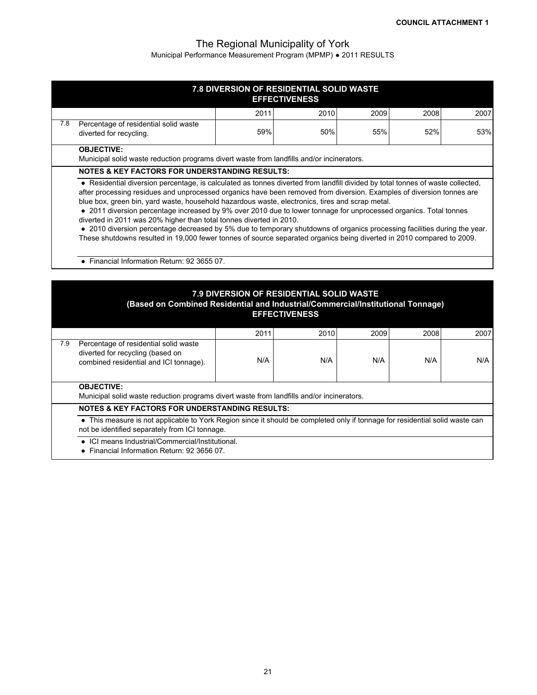|     |                                                                                                                                                                                                                                                                                                                           | 7.8 DIVERSION OF RESIDENTIAL SOLID WASTE<br><b>EFFECTIVENESS</b> |             |             |             |             |
|-----|---------------------------------------------------------------------------------------------------------------------------------------------------------------------------------------------------------------------------------------------------------------------------------------------------------------------------|------------------------------------------------------------------|-------------|-------------|-------------|-------------|
|     |                                                                                                                                                                                                                                                                                                                           | 2011                                                             | 2010        | 2009        | 2008        | 2007        |
| 7.8 | Percentage of residential solid waste<br>diverted for recycling.                                                                                                                                                                                                                                                          | 59%                                                              | 50%         | 55%         | 52%         | 53%         |
|     | <b>OBJECTIVE:</b><br>Municipal solid waste reduction programs divert waste from landfills and/or incinerators.                                                                                                                                                                                                            |                                                                  |             |             |             |             |
|     | <b>NOTES &amp; KEY FACTORS FOR UNDERSTANDING RESULTS:</b>                                                                                                                                                                                                                                                                 |                                                                  |             |             |             |             |
|     | diverted in 2011 was 20% higher than total tonnes diverted in 2010.<br>• 2010 diversion percentage decreased by 5% due to temporary shutdowns of organics processing facilities during the year.<br>These shutdowns resulted in 19,000 fewer tonnes of source separated organics being diverted in 2010 compared to 2009. |                                                                  |             |             |             |             |
|     | · Financial Information Return: 92 3655 07.<br>(Based on Combined Residential and Industrial/Commercial/Institutional Tonnage)                                                                                                                                                                                            | 7.9 DIVERSION OF RESIDENTIAL SOLID WASTE<br><b>EFFECTIVENESS</b> |             |             |             |             |
|     |                                                                                                                                                                                                                                                                                                                           |                                                                  |             |             |             |             |
| 7.9 | Percentage of residential solid waste<br>diverted for recycling (based on<br>combined residential and ICI tonnage).                                                                                                                                                                                                       | 2011<br>N/A                                                      | 2010<br>N/A | 2009<br>N/A | 2008<br>N/A | 2007<br>N/A |
|     | <b>OBJECTIVE:</b><br>Municipal solid waste reduction programs divert waste from landfills and/or incinerators.                                                                                                                                                                                                            |                                                                  |             |             |             |             |
|     | <b>NOTES &amp; KEY FACTORS FOR UNDERSTANDING RESULTS:</b>                                                                                                                                                                                                                                                                 |                                                                  |             |             |             |             |
|     | • This measure is not applicable to York Region since it should be completed only if tonnage for residential solid waste can<br>not be identified separately from ICI tonnage.<br>ICI means Industrial/Commercial/Institutional.                                                                                          |                                                                  |             |             |             |             |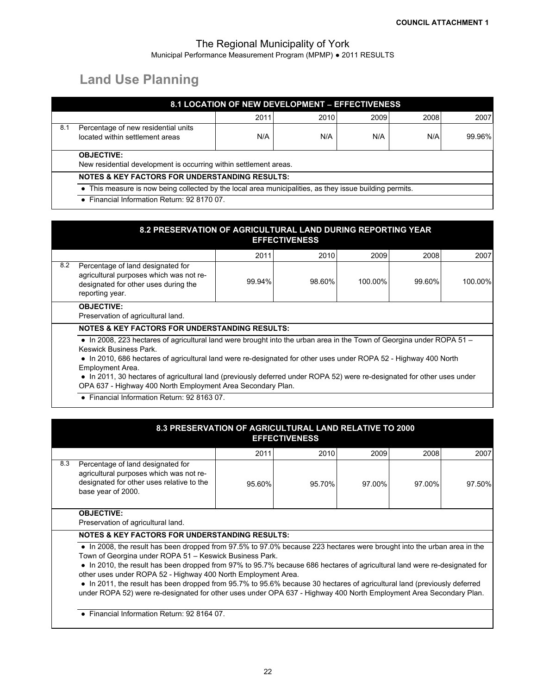# **Land Use Planning**

|                                             |                                                                                                         | 8.1 LOCATION OF NEW DEVELOPMENT - EFFECTIVENESS |      |      |      |        |  |
|---------------------------------------------|---------------------------------------------------------------------------------------------------------|-------------------------------------------------|------|------|------|--------|--|
|                                             |                                                                                                         | 2011                                            | 2010 | 2009 | 2008 | 2007   |  |
| 8.1                                         | Percentage of new residential units<br>located within settlement areas                                  | N/A                                             | N/A  | N/A  | N/A  | 99.96% |  |
|                                             | <b>OBJECTIVE:</b><br>New residential development is occurring within settlement areas.                  |                                                 |      |      |      |        |  |
|                                             | <b>NOTES &amp; KEY FACTORS FOR UNDERSTANDING RESULTS:</b>                                               |                                                 |      |      |      |        |  |
|                                             | • This measure is now being collected by the local area municipalities, as they issue building permits. |                                                 |      |      |      |        |  |
| • Financial Information Return: 92 8170 07. |                                                                                                         |                                                 |      |      |      |        |  |

|     | 8.2 PRESERVATION OF AGRICULTURAL LAND DURING REPORTING YEAR<br><b>EFFECTIVENESS</b>                                                                                                                                                                                                                                                                                                                                                                                                             |        |        |         |        |         |  |  |
|-----|-------------------------------------------------------------------------------------------------------------------------------------------------------------------------------------------------------------------------------------------------------------------------------------------------------------------------------------------------------------------------------------------------------------------------------------------------------------------------------------------------|--------|--------|---------|--------|---------|--|--|
|     |                                                                                                                                                                                                                                                                                                                                                                                                                                                                                                 | 2011   | 2010   | 2009    | 2008   | 2007    |  |  |
| 8.2 | Percentage of land designated for<br>agricultural purposes which was not re-<br>designated for other uses during the<br>reporting year.                                                                                                                                                                                                                                                                                                                                                         | 99.94% | 98.60% | 100.00% | 99.60% | 100.00% |  |  |
|     | <b>OBJECTIVE:</b><br>Preservation of agricultural land.                                                                                                                                                                                                                                                                                                                                                                                                                                         |        |        |         |        |         |  |  |
|     | <b>NOTES &amp; KEY FACTORS FOR UNDERSTANDING RESULTS:</b>                                                                                                                                                                                                                                                                                                                                                                                                                                       |        |        |         |        |         |  |  |
|     | • In 2008, 223 hectares of agricultural land were brought into the urban area in the Town of Georgina under ROPA 51 –<br><b>Keswick Business Park.</b><br>• In 2010, 686 hectares of agricultural land were re-designated for other uses under ROPA 52 - Highway 400 North<br><b>Employment Area.</b><br>• In 2011, 30 hectares of agricultural land (previously deferred under ROPA 52) were re-designated for other uses under<br>OPA 637 - Highway 400 North Employment Area Secondary Plan. |        |        |         |        |         |  |  |

● Financial Information Return: 92 8163 07.

|     | 8.3 PRESERVATION OF AGRICULTURAL LAND RELATIVE TO 2000                                                                                                                                                                                                                                                                                                                                                                                                                                                                                                                                                                             |        | <b>EFFECTIVENESS</b> |        |        |        |  |
|-----|------------------------------------------------------------------------------------------------------------------------------------------------------------------------------------------------------------------------------------------------------------------------------------------------------------------------------------------------------------------------------------------------------------------------------------------------------------------------------------------------------------------------------------------------------------------------------------------------------------------------------------|--------|----------------------|--------|--------|--------|--|
|     |                                                                                                                                                                                                                                                                                                                                                                                                                                                                                                                                                                                                                                    | 2011   | 2010                 | 2009   | 2008   | 2007   |  |
| 8.3 | Percentage of land designated for<br>agricultural purposes which was not re-<br>designated for other uses relative to the<br>base year of 2000.                                                                                                                                                                                                                                                                                                                                                                                                                                                                                    | 95.60% | 95.70%               | 97.00% | 97.00% | 97.50% |  |
|     | <b>OBJECTIVE:</b><br>Preservation of agricultural land.                                                                                                                                                                                                                                                                                                                                                                                                                                                                                                                                                                            |        |                      |        |        |        |  |
|     | <b>NOTES &amp; KEY FACTORS FOR UNDERSTANDING RESULTS:</b>                                                                                                                                                                                                                                                                                                                                                                                                                                                                                                                                                                          |        |                      |        |        |        |  |
|     | • In 2008, the result has been dropped from 97.5% to 97.0% because 223 hectares were brought into the urban area in the<br>Town of Georgina under ROPA 51 - Keswick Business Park.<br>• In 2010, the result has been dropped from 97% to 95.7% because 686 hectares of agricultural land were re-designated for<br>other uses under ROPA 52 - Highway 400 North Employment Area.<br>• In 2011, the result has been dropped from 95.7% to 95.6% because 30 hectares of agricultural land (previously deferred<br>under ROPA 52) were re-designated for other uses under OPA 637 - Highway 400 North Employment Area Secondary Plan. |        |                      |        |        |        |  |

● Financial Information Return: 92 8164 07.